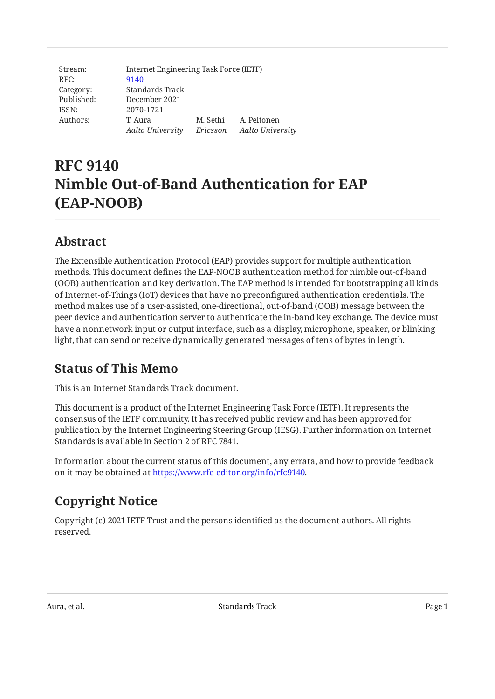| Stream:    |                  | Internet Engineering Task Force (IETF) |                  |  |  |
|------------|------------------|----------------------------------------|------------------|--|--|
| RFC:       | 9140             |                                        |                  |  |  |
| Category:  | Standards Track  |                                        |                  |  |  |
| Published: | December 2021    |                                        |                  |  |  |
| ISSN:      | 2070-1721        |                                        |                  |  |  |
| Authors:   | T. Aura          | M. Sethi                               | A. Peltonen      |  |  |
|            | Aalto University | Ericsson                               | Aalto University |  |  |

# **RFC 9140 Nimble Out-of-Band Authentication for EAP (EAP‑NOOB)**

## <span id="page-0-0"></span>**[Abstract](#page-0-0)**

The Extensible Authentication Protocol (EAP) provides support for multiple authentication methods. This document defines the EAP-NOOB authentication method for nimble out-of-band (OOB) authentication and key derivation. The EAP method is intended for bootstrapping all kinds of Internet-of-Things (IoT) devices that have no preconfigured authentication credentials. The method makes use of a user-assisted, one-directional, out-of-band (OOB) message between the peer device and authentication server to authenticate the in-band key exchange. The device must have a nonnetwork input or output interface, such as a display, microphone, speaker, or blinking light, that can send or receive dynamically generated messages of tens of bytes in length.

## <span id="page-0-1"></span>**[Status of This Memo](#page-0-1)**

This is an Internet Standards Track document.

This document is a product of the Internet Engineering Task Force (IETF). It represents the consensus of the IETF community. It has received public review and has been approved for publication by the Internet Engineering Steering Group (IESG). Further information on Internet Standards is available in Section 2 of RFC 7841.

Information about the current status of this document, any errata, and how to provide feedback on it may be obtained at [https://www.rfc-editor.org/info/rfc9140.](https://www.rfc-editor.org/info/rfc9140)

## <span id="page-0-2"></span>**[Copyright Notice](#page-0-2)**

Copyright (c) 2021 IETF Trust and the persons identified as the document authors. All rights reserved.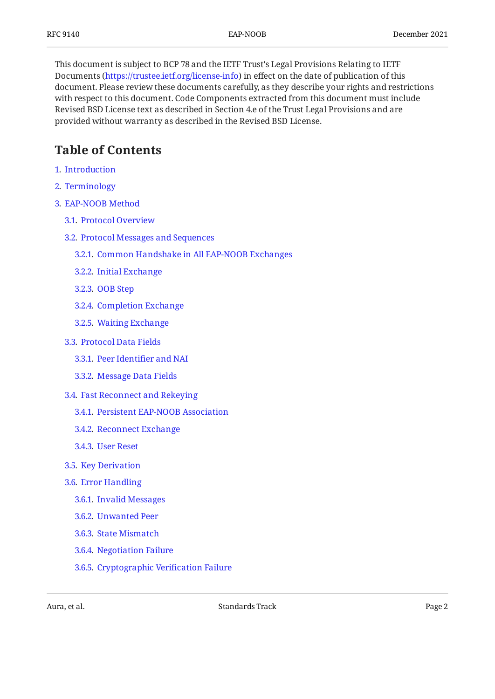This document is subject to BCP 78 and the IETF Trust's Legal Provisions Relating to IETF Documents (<https://trustee.ietf.org/license-info>) in effect on the date of publication of this document. Please review these documents carefully, as they describe your rights and restrictions with respect to this document. Code Components extracted from this document must include Revised BSD License text as described in Section 4.e of the Trust Legal Provisions and are provided without warranty as described in the Revised BSD License.

## <span id="page-1-0"></span>**[Table of Contents](#page-1-0)**

- [1](#page-3-0). [Introduction](#page-3-0)
- [2](#page-4-0). [Terminology](#page-4-0)
- [3](#page-4-1). [EAP-NOOB Method](#page-4-1)
	- [3.1.](#page-4-2) [Protocol Overview](#page-4-2)
	- [3.2.](#page-7-0) [Protocol Messages and Sequences](#page-7-0)
		- [3.2.1](#page-7-1). [Common Handshake in All EAP-NOOB Exchanges](#page-7-1)
		- [3.2.2](#page-8-0). [Initial Exchange](#page-8-0)
		- [3.2.3](#page-9-0). [OOB Step](#page-9-0)
		- [3.2.4](#page-11-0). [Completion Exchange](#page-11-0)
		- [3.2.5](#page-12-0). [Waiting Exchange](#page-12-0)
	- [3.3.](#page-13-0) [Protocol Data Fields](#page-13-0)
		- [3.3.1](#page-13-1). [Peer Identi](#page-13-1)fier and NAI
		- [3.3.2](#page-14-0). [Message Data Fields](#page-14-0)
	- [3.4.](#page-18-0) [Fast Reconnect and Rekeying](#page-18-0)
		- [3.4.1](#page-19-0). [Persistent EAP-NOOB Association](#page-19-0)
		- [3.4.2](#page-19-1). [Reconnect Exchange](#page-19-1)
		- [3.4.3](#page-22-0). [User Reset](#page-22-0)
	- [3.5.](#page-23-0) [Key Derivation](#page-23-0)
	- [3.6.](#page-26-0) [Error Handling](#page-26-0)
		- [3.6.1](#page-27-0). [Invalid Messages](#page-27-0)
		- [3.6.2](#page-27-1). [Unwanted Peer](#page-27-1)
		- [3.6.3](#page-27-2). [State Mismatch](#page-27-2)
		- [3.6.4](#page-28-0). [Negotiation Failure](#page-28-0)
		- [3.6.5](#page-28-1). [Cryptographic Veri](#page-28-1)fication Failure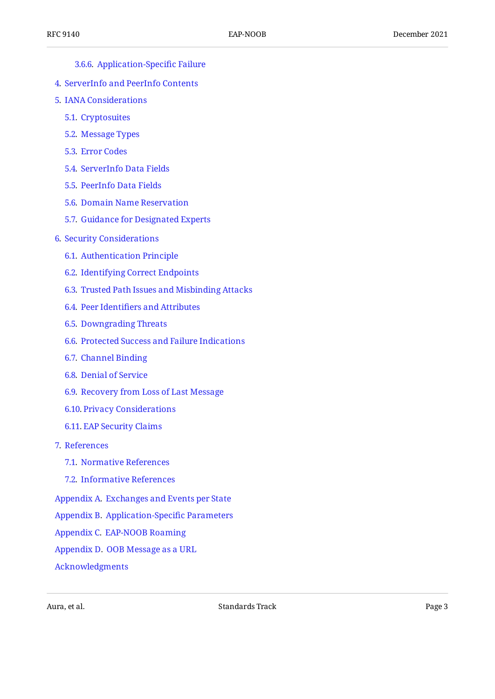#### [3.6.6](#page-28-2). [Application-Speci](#page-28-2)fic Failure

- [4](#page-29-0). [ServerInfo and PeerInfo Contents](#page-29-0)
- [5](#page-30-0). [IANA Considerations](#page-30-0)
	- [5.1.](#page-30-1) [Cryptosuites](#page-30-1)
	- [5.2.](#page-31-0) [Message Types](#page-31-0)
	- [5.3.](#page-32-0) [Error Codes](#page-32-0)
	- [5.4.](#page-33-0) [ServerInfo Data Fields](#page-33-0)
	- [5.5.](#page-33-1) [PeerInfo Data Fields](#page-33-1)
	- [5.6.](#page-34-0) [Domain Name Reservation](#page-34-0)
	- [5.7.](#page-34-1) [Guidance for Designated Experts](#page-34-1)
- [6](#page-35-0). [Security Considerations](#page-35-0)
	- [6.1.](#page-35-1) [Authentication Principle](#page-35-1)
	- [6.2.](#page-36-0) [Identifying Correct Endpoints](#page-36-0)
	- [6.3.](#page-37-0) [Trusted Path Issues and Misbinding Attacks](#page-37-0)
	- [6.4.](#page-38-0) Peer Identifi[ers and Attributes](#page-38-0)
	- [6.5.](#page-38-1) [Downgrading Threats](#page-38-1)
	- [6.6.](#page-39-0) [Protected Success and Failure Indications](#page-39-0)
	- [6.7.](#page-40-0) [Channel Binding](#page-40-0)
	- [6.8.](#page-40-1) [Denial of Service](#page-40-1)
	- [6.9.](#page-41-0) [Recovery from Loss of Last Message](#page-41-0)
	- [6.10.](#page-42-0) [Privacy Considerations](#page-42-0)
	- [6.11.](#page-43-0) [EAP Security Claims](#page-43-0)
- [7](#page-44-0). [References](#page-44-0)
	- [7.1.](#page-44-1) [Normative References](#page-44-1)
	- [7.2.](#page-45-0) [Informative References](#page-45-0)
- [Appendix A.](#page-46-0) [Exchanges and Events per State](#page-46-0)
- [Appendix B.](#page-48-0) [Application-Speci](#page-48-0)fic Parameters
- [Appendix C.](#page-48-1) [EAP-NOOB Roaming](#page-48-1)
- [Appendix D.](#page-49-0) [OOB Message as a URL](#page-49-0)

[Acknowledgments](#page-49-1)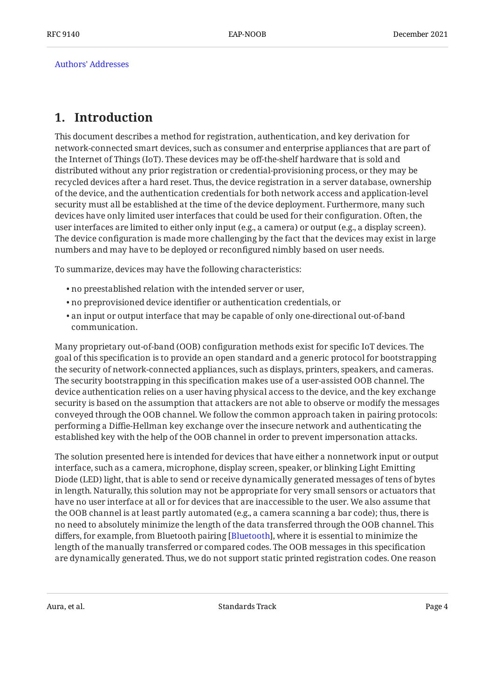[Authors' Addresses](#page-50-0)

## <span id="page-3-0"></span>**[1. Introduction](#page-3-0)**

This document describes a method for registration, authentication, and key derivation for network-connected smart devices, such as consumer and enterprise appliances that are part of the Internet of Things (IoT). These devices may be off-the-shelf hardware that is sold and distributed without any prior registration or credential-provisioning process, or they may be recycled devices after a hard reset. Thus, the device registration in a server database, ownership of the device, and the authentication credentials for both network access and application-level security must all be established at the time of the device deployment. Furthermore, many such devices have only limited user interfaces that could be used for their configuration. Often, the user interfaces are limited to either only input (e.g., a camera) or output (e.g., a display screen). The device configuration is made more challenging by the fact that the devices may exist in large numbers and may have to be deployed or reconfigured nimbly based on user needs.

To summarize, devices may have the following characteristics:

- no preestablished relation with the intended server or user, •
- no preprovisioned device identifier or authentication credentials, or •
- $\bullet$  an input or output interface that may be capable of only one-directional out-of-band communication.

Many proprietary out-of-band (OOB) configuration methods exist for specific IoT devices. The goal of this specification is to provide an open standard and a generic protocol for bootstrapping the security of network-connected appliances, such as displays, printers, speakers, and cameras. The security bootstrapping in this specification makes use of a user-assisted OOB channel. The device authentication relies on a user having physical access to the device, and the key exchange security is based on the assumption that attackers are not able to observe or modify the messages conveyed through the OOB channel. We follow the common approach taken in pairing protocols: performing a Diffie-Hellman key exchange over the insecure network and authenticating the established key with the help of the OOB channel in order to prevent impersonation attacks.

The solution presented here is intended for devices that have either a nonnetwork input or output interface, such as a camera, microphone, display screen, speaker, or blinking Light Emitting Diode (LED) light, that is able to send or receive dynamically generated messages of tens of bytes in length. Naturally, this solution may not be appropriate for very small sensors or actuators that have no user interface at all or for devices that are inaccessible to the user. We also assume that the OOB channel is at least partly automated (e.g., a camera scanning a bar code); thus, there is no need to absolutely minimize the length of the data transferred through the OOB channel. This differs, for example, from Bluetooth pairing [\[Bluetooth](#page-45-1)], where it is essential to minimize the length of the manually transferred or compared codes. The OOB messages in this specification are dynamically generated. Thus, we do not support static printed registration codes. One reason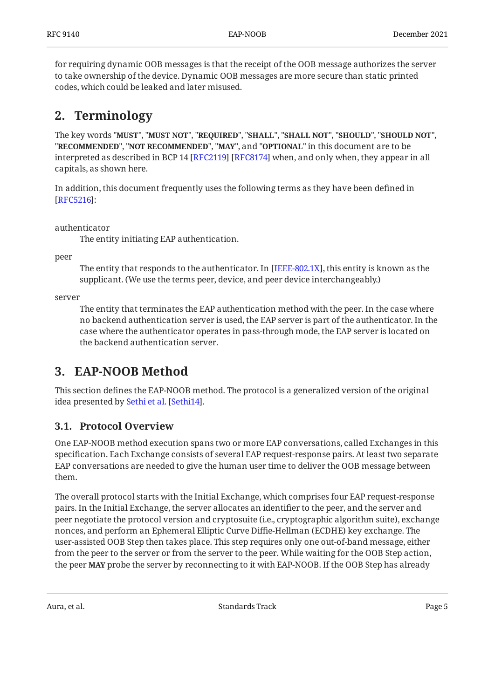for requiring dynamic OOB messages is that the receipt of the OOB message authorizes the server to take ownership of the device. Dynamic OOB messages are more secure than static printed codes, which could be leaked and later misused.

## <span id="page-4-0"></span>**[2. Terminology](#page-4-0)**

The key words "MUST", "MUST NOT", "REQUIRED", "SHALL", "SHALL NOT", "SHOULD", "SHOULD NOT", "**RECOMMENDED", "NOT RECOMMENDED", "MAY",** and "OPTIONAL" in this document are to be interpreted as described in BCP 14 [RFC2119] [RFC8174] when, and only when, they appear in all capitals, as shown here.

In addition, this document frequently uses the following terms as they have been defined in : [[RFC5216\]](#page-46-1)

authenticator

The entity initiating EAP authentication.

peer

The entity that responds to the authenticator. In [IEEE-802.1X], this entity is known as the supplicant. (We use the terms peer, device, and peer device interchangeably.)

server

The entity that terminates the EAP authentication method with the peer. In the case where no backend authentication server is used, the EAP server is part of the authenticator. In the case where the authenticator operates in pass-through mode, the EAP server is located on the backend authentication server.

## <span id="page-4-1"></span>**[3. EAP-NOOB Method](#page-4-1)**

This section defines the EAP-NOOB method. The protocol is a generalized version of the original ideapresented by Sethi et al. [Sethi14].

### <span id="page-4-2"></span>**[3.1. Protocol Overview](#page-4-2)**

One EAP-NOOB method execution spans two or more EAP conversations, called Exchanges in this specification. Each Exchange consists of several EAP request-response pairs. At least two separate EAP conversations are needed to give the human user time to deliver the OOB message between them.

The overall protocol starts with the Initial Exchange, which comprises four EAP request-response pairs. In the Initial Exchange, the server allocates an identifier to the peer, and the server and peer negotiate the protocol version and cryptosuite (i.e., cryptographic algorithm suite), exchange nonces, and perform an Ephemeral Elliptic Curve Diffie-Hellman (ECDHE) key exchange. The user-assisted OOB Step then takes place. This step requires only one out-of-band message, either from the peer to the server or from the server to the peer. While waiting for the OOB Step action, the peer MAY probe the server by reconnecting to it with EAP-NOOB. If the OOB Step has already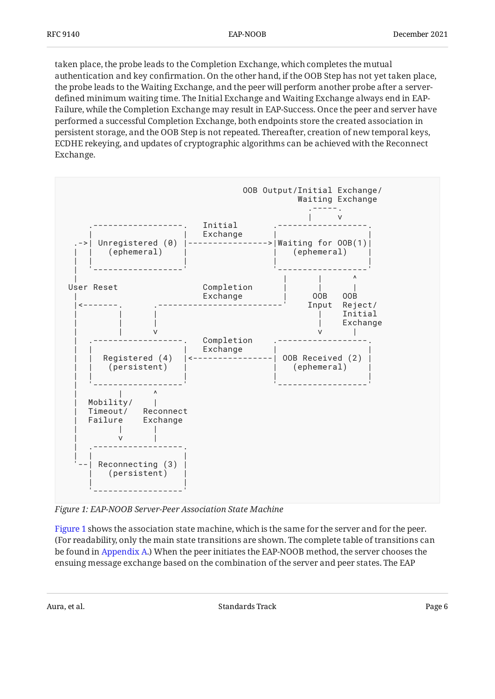taken place, the probe leads to the Completion Exchange, which completes the mutual authentication and key confirmation. On the other hand, if the OOB Step has not yet taken place, the probe leads to the Waiting Exchange, and the peer will perform another probe after a serverdefined minimum waiting time. The Initial Exchange and Waiting Exchange always end in EAP-Failure, while the Completion Exchange may result in EAP-Success. Once the peer and server have performed a successful Completion Exchange, both endpoints store the created association in persistent storage, and the OOB Step is not repeated. Thereafter, creation of new temporal keys, ECDHE rekeying, and updates of cryptographic algorithms can be achieved with the Reconnect Exchange.

<span id="page-5-0"></span>

*[Figure 1: EAP-NOOB Server-Peer Association State Machine](#page-5-0)* 

[Figure 1](#page-5-0) shows the association state machine, which is the same for the server and for the peer. (For readability, only the main state transitions are shown. The complete table of transitions can be found in [Appendix A.](#page-46-0)) When the peer initiates the EAP-NOOB method, the server chooses the ensuing message exchange based on the combination of the server and peer states. The EAP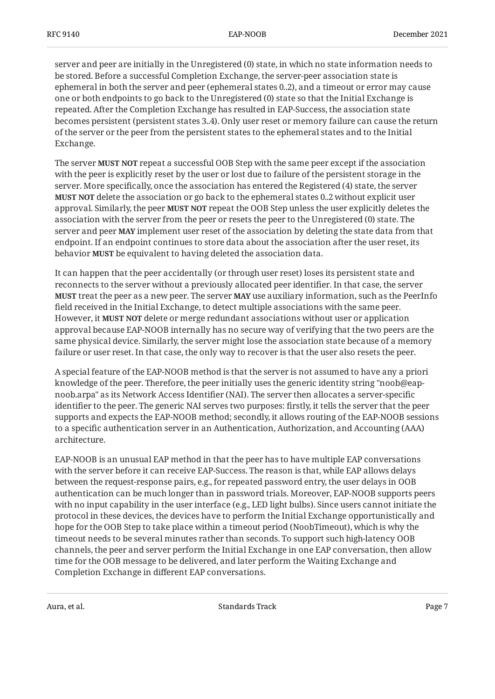server and peer are initially in the Unregistered (0) state, in which no state information needs to be stored. Before a successful Completion Exchange, the server-peer association state is ephemeral in both the server and peer (ephemeral states 0..2), and a timeout or error may cause one or both endpoints to go back to the Unregistered (0) state so that the Initial Exchange is repeated. After the Completion Exchange has resulted in EAP-Success, the association state becomes persistent (persistent states 3..4). Only user reset or memory failure can cause the return of the server or the peer from the persistent states to the ephemeral states and to the Initial Exchange.

The server **MUST NOT** repeat a successful OOB Step with the same peer except if the association with the peer is explicitly reset by the user or lost due to failure of the persistent storage in the server. More specifically, once the association has entered the Registered (4) state, the server **MUST NOT** delete the association or go back to the ephemeral states 0..2 without explicit user approval. Similarly, the peer **MUST NOT** repeat the OOB Step unless the user explicitly deletes the association with the server from the peer or resets the peer to the Unregistered (0) state. The server and peer **MAY** implement user reset of the association by deleting the state data from that endpoint. If an endpoint continues to store data about the association after the user reset, its behavior **MUST** be equivalent to having deleted the association data.

It can happen that the peer accidentally (or through user reset) loses its persistent state and reconnects to the server without a previously allocated peer identifier. In that case, the server **MUST** treat the peer as a new peer. The server **MAY** use auxiliary information, such as the PeerInfo field received in the Initial Exchange, to detect multiple associations with the same peer. However, it **MUST NOT** delete or merge redundant associations without user or application approval because EAP-NOOB internally has no secure way of verifying that the two peers are the same physical device. Similarly, the server might lose the association state because of a memory failure or user reset. In that case, the only way to recover is that the user also resets the peer.

A special feature of the EAP-NOOB method is that the server is not assumed to have any a priori knowledge of the peer. Therefore, the peer initially uses the generic identity string "noob@eapnoob.arpa" as its Network Access Identifier (NAI). The server then allocates a server-specific identifier to the peer. The generic NAI serves two purposes: firstly, it tells the server that the peer supports and expects the EAP-NOOB method; secondly, it allows routing of the EAP-NOOB sessions to a specific authentication server in an Authentication, Authorization, and Accounting (AAA) architecture.

EAP-NOOB is an unusual EAP method in that the peer has to have multiple EAP conversations with the server before it can receive EAP-Success. The reason is that, while EAP allows delays between the request-response pairs, e.g., for repeated password entry, the user delays in OOB authentication can be much longer than in password trials. Moreover, EAP-NOOB supports peers with no input capability in the user interface (e.g., LED light bulbs). Since users cannot initiate the protocol in these devices, the devices have to perform the Initial Exchange opportunistically and hope for the OOB Step to take place within a timeout period (NoobTimeout), which is why the timeout needs to be several minutes rather than seconds. To support such high-latency OOB channels, the peer and server perform the Initial Exchange in one EAP conversation, then allow time for the OOB message to be delivered, and later perform the Waiting Exchange and Completion Exchange in different EAP conversations.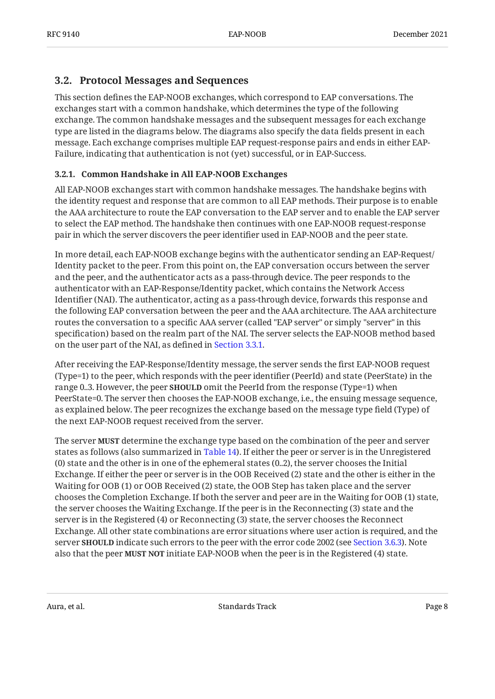### <span id="page-7-0"></span>**[3.2. Protocol Messages and Sequences](#page-7-0)**

This section defines the EAP-NOOB exchanges, which correspond to EAP conversations. The exchanges start with a common handshake, which determines the type of the following exchange. The common handshake messages and the subsequent messages for each exchange type are listed in the diagrams below. The diagrams also specify the data fields present in each message. Each exchange comprises multiple EAP request-response pairs and ends in either EAP-Failure, indicating that authentication is not (yet) successful, or in EAP-Success.

#### <span id="page-7-1"></span>**[3.2.1. Common Handshake in All EAP-NOOB Exchanges](#page-7-1)**

All EAP-NOOB exchanges start with common handshake messages. The handshake begins with the identity request and response that are common to all EAP methods. Their purpose is to enable the AAA architecture to route the EAP conversation to the EAP server and to enable the EAP server to select the EAP method. The handshake then continues with one EAP-NOOB request-response pair in which the server discovers the peer identifier used in EAP-NOOB and the peer state.

In more detail, each EAP-NOOB exchange begins with the authenticator sending an EAP-Request/ Identity packet to the peer. From this point on, the EAP conversation occurs between the server and the peer, and the authenticator acts as a pass-through device. The peer responds to the authenticator with an EAP-Response/Identity packet, which contains the Network Access Identifier (NAI). The authenticator, acting as a pass-through device, forwards this response and the following EAP conversation between the peer and the AAA architecture. The AAA architecture routes the conversation to a specific AAA server (called "EAP server" or simply "server" in this specification) based on the realm part of the NAI. The server selects the EAP-NOOB method based on the user part of the NAI, as defined in [Section 3.3.1.](#page-13-1)

After receiving the EAP-Response/Identity message, the server sends the first EAP-NOOB request (Type=1) to the peer, which responds with the peer identifier (PeerId) and state (PeerState) in the range 0..3. However, the peer **SHOULD** omit the PeerId from the response (Type=1) when PeerState=0. The server then chooses the EAP-NOOB exchange, i.e., the ensuing message sequence, as explained below. The peer recognizes the exchange based on the message type field (Type) of the next EAP-NOOB request received from the server.

The server **MUST** determine the exchange type based on the combination of the peer and server states as follows (also summarized in [Table 14](#page-46-3)). If either the peer or server is in the Unregistered (0) state and the other is in one of the ephemeral states (0..2), the server chooses the Initial Exchange. If either the peer or server is in the OOB Received (2) state and the other is either in the Waiting for OOB (1) or OOB Received (2) state, the OOB Step has taken place and the server chooses the Completion Exchange. If both the server and peer are in the Waiting for OOB (1) state, the server chooses the Waiting Exchange. If the peer is in the Reconnecting (3) state and the server is in the Registered (4) or Reconnecting (3) state, the server chooses the Reconnect Exchange. All other state combinations are error situations where user action is required, and the server **SHOULD** indicate such errors to the peer with the error code 2002 (see [Section 3.6.3\)](#page-27-2). Note also that the peer **MUST NOT** initiate EAP-NOOB when the peer is in the Registered (4) state.

<span id="page-7-2"></span>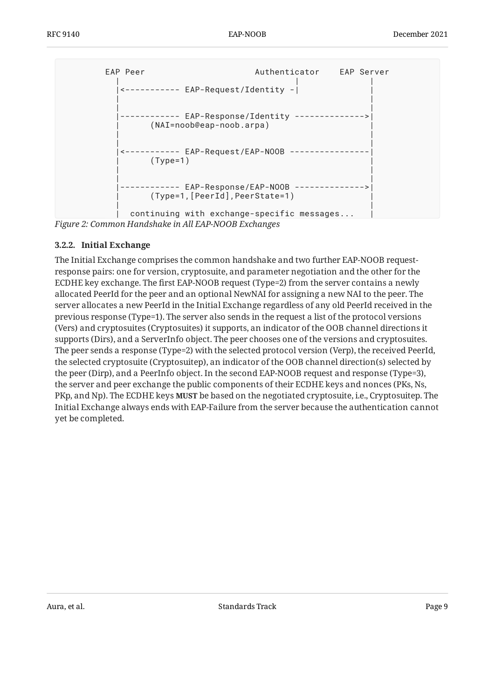<span id="page-8-1"></span>

| FAP Peer     | ----------- EAP-Request/Identity -                        | Authenticator EAP Server                   |  |
|--------------|-----------------------------------------------------------|--------------------------------------------|--|
|              | EAP-Response/Identity<br>$(NAI = noob@cap - noob . arpa)$ |                                            |  |
| $(Type=1)$   | <----------- EAP-Request/EAP-NOOB                         |                                            |  |
| ------------ | EAP-Response/EAP-NOOB<br>(Type=1, [PeerId], PeerState=1)  | ------------->                             |  |
|              |                                                           | continuing with exchange-specific messages |  |

<span id="page-8-0"></span>*[Figure 2:](#page-8-1) [Common Handshake in All EAP-NOOB Exchanges](#page-7-2)* 

#### **[3.2.2. Initial Exchange](#page-8-0)**

<span id="page-8-2"></span>The Initial Exchange comprises the common handshake and two further EAP-NOOB requestresponse pairs: one for version, cryptosuite, and parameter negotiation and the other for the ECDHE key exchange. The first EAP-NOOB request (Type=2) from the server contains a newly allocated PeerId for the peer and an optional NewNAI for assigning a new NAI to the peer. The server allocates a new PeerId in the Initial Exchange regardless of any old PeerId received in the previous response (Type=1). The server also sends in the request a list of the protocol versions (Vers) and cryptosuites (Cryptosuites) it supports, an indicator of the OOB channel directions it supports (Dirs), and a ServerInfo object. The peer chooses one of the versions and cryptosuites. The peer sends a response (Type=2) with the selected protocol version (Verp), the received PeerId, the selected cryptosuite (Cryptosuitep), an indicator of the OOB channel direction(s) selected by the peer (Dirp), and a PeerInfo object. In the second EAP-NOOB request and response (Type=3), the server and peer exchange the public components of their ECDHE keys and nonces (PKs, Ns, PKp, and Np). The ECDHE keys **MUST** be based on the negotiated cryptosuite, i.e., Cryptosuitep. The Initial Exchange always ends with EAP-Failure from the server because the authentication cannot yet be completed.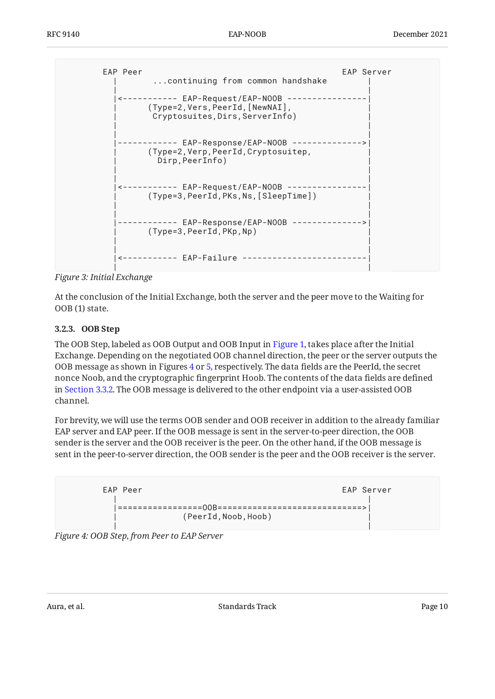```
EAP Peer EAP Server
     ...continuing from common handshake
 | |
 |<----------- EAP-Request/EAP-NOOB ----------------|
     | (Type=2,Vers,PeerId,[NewNAI], |
     Cryptosuites, Dirs, ServerInfo)
 | |
 | |
  |------------ EAP-Response/EAP-NOOB -------------->|
     | (Type=2,Verp,PeerId,Cryptosuitep, |
     Dirp, PeerInfo)
 | |
 | |
  |<----------- EAP-Request/EAP-NOOB ----------------|
     | (Type=3,PeerId,PKs,Ns,[SleepTime]) |
 | |
 | |
  |------------ EAP-Response/EAP-NOOB -------------->|
    (Type=3, PeerId, PKp, Np)
 | |
 | |
  |<----------- EAP-Failure -------------------------|
 | |
```
*[Figure 3:](#page-9-1) [Initial Exchange](#page-8-2)* 

At the conclusion of the Initial Exchange, both the server and the peer move to the Waiting for OOB (1) state.

#### <span id="page-9-0"></span>**[3.2.3. OOB Step](#page-9-0)**

The OOB Step, labeled as OOB Output and OOB Input in [Figure 1,](#page-5-0) takes place after the Initial Exchange. Depending on the negotiated OOB channel direction, the peer or the server outputs the OOB message as shown in Figures [4](#page-9-2) or [5](#page-10-0), respectively. The data fields are the PeerId, the secret nonce Noob, and the cryptographic fingerprint Hoob. The contents of the data fields are defined in [Section 3.3.2.](#page-14-0) The OOB message is delivered to the other endpoint via a user-assisted OOB channel.

For brevity, we will use the terms OOB sender and OOB receiver in addition to the already familiar EAP server and EAP peer. If the OOB message is sent in the server-to-peer direction, the OOB sender is the server and the OOB receiver is the peer. On the other hand, if the OOB message is sent in the peer-to-server direction, the OOB sender is the peer and the OOB receiver is the server.

<span id="page-9-2"></span>

<span id="page-9-3"></span>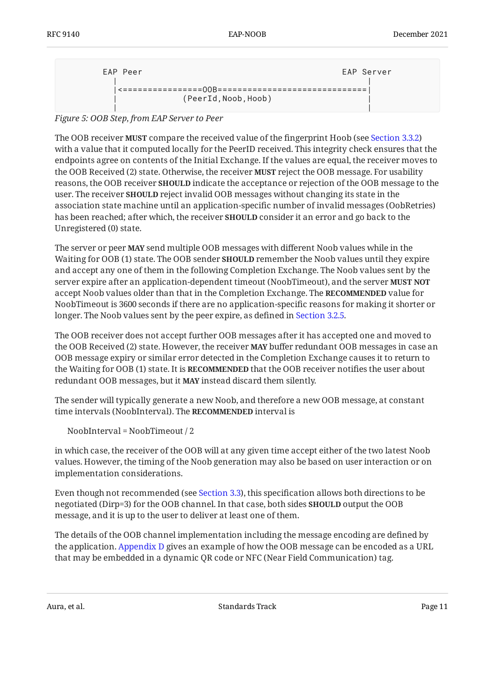<span id="page-10-0"></span>

| EAP Peer             | EAP Server |
|----------------------|------------|
|                      |            |
| (PeerId, Noob, Hoob) |            |
|                      |            |

*[Figure 5:](#page-10-0) [OOB Step, from EAP Server to Peer](#page-9-3)* 

The OOB receiver **MUST** compare the received value of the fingerprint Hoob (see [Section 3.3.2\)](#page-14-0) with a value that it computed locally for the PeerID received. This integrity check ensures that the endpoints agree on contents of the Initial Exchange. If the values are equal, the receiver moves to the OOB Received (2) state. Otherwise, the receiver **MUST** reject the OOB message. For usability reasons, the OOB receiver **SHOULD** indicate the acceptance or rejection of the OOB message to the user. The receiver **SHOULD** reject invalid OOB messages without changing its state in the association state machine until an application-specific number of invalid messages (OobRetries) has been reached; after which, the receiver **SHOULD** consider it an error and go back to the Unregistered (0) state.

The server or peer **MAY** send multiple OOB messages with different Noob values while in the Waiting for OOB (1) state. The OOB sender **SHOULD** remember the Noob values until they expire and accept any one of them in the following Completion Exchange. The Noob values sent by the server expire after an application-dependent timeout (NoobTimeout), and the server **MUST NOT** accept Noob values older than that in the Completion Exchange. The **RECOMMENDED** value for NoobTimeout is 3600 seconds if there are no application-specific reasons for making it shorter or longer. The Noob values sent by the peer expire, as defined in [Section 3.2.5.](#page-12-0)

The OOB receiver does not accept further OOB messages after it has accepted one and moved to the OOB Received (2) state. However, the receiver **MAY** buffer redundant OOB messages in case an OOB message expiry or similar error detected in the Completion Exchange causes it to return to the Waiting for OOB (1) state. It is **RECOMMENDED** that the OOB receiver notifies the user about redundant OOB messages, but it **MAY** instead discard them silently.

The sender will typically generate a new Noob, and therefore a new OOB message, at constant time intervals (NoobInterval). The **RECOMMENDED** interval is

NoobInterval = NoobTimeout / 2

in which case, the receiver of the OOB will at any given time accept either of the two latest Noob values. However, the timing of the Noob generation may also be based on user interaction or on implementation considerations.

Even though not recommended (see [Section 3.3](#page-13-0)), this specification allows both directions to be negotiated (Dirp=3) for the OOB channel. In that case, both sides **SHOULD** output the OOB message, and it is up to the user to deliver at least one of them.

The details of the OOB channel implementation including the message encoding are defined by the application. [Appendix D](#page-49-0) gives an example of how the OOB message can be encoded as a URL that may be embedded in a dynamic QR code or NFC (Near Field Communication) tag.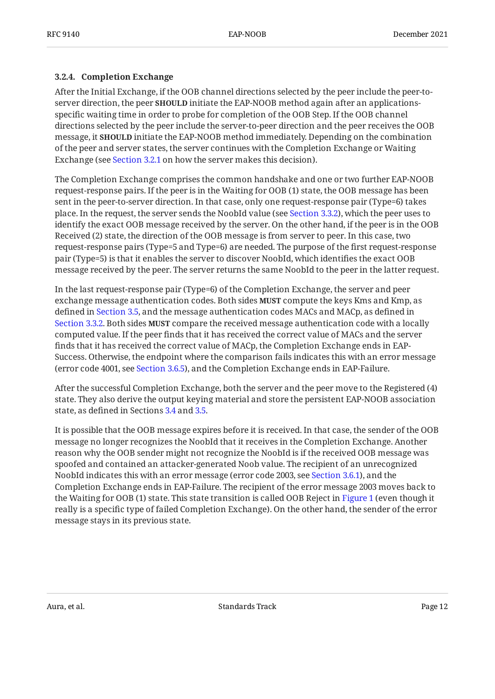#### <span id="page-11-0"></span>**[3.2.4. Completion Exchange](#page-11-0)**

After the Initial Exchange, if the OOB channel directions selected by the peer include the peer-toserver direction, the peer **SHOULD** initiate the EAP-NOOB method again after an applicationsspecific waiting time in order to probe for completion of the OOB Step. If the OOB channel directions selected by the peer include the server-to-peer direction and the peer receives the OOB message, it **SHOULD** initiate the EAP-NOOB method immediately. Depending on the combination of the peer and server states, the server continues with the Completion Exchange or Waiting Exchange (see [Section 3.2.1](#page-7-1) on how the server makes this decision).

The Completion Exchange comprises the common handshake and one or two further EAP-NOOB request-response pairs. If the peer is in the Waiting for OOB (1) state, the OOB message has been sent in the peer-to-server direction. In that case, only one request-response pair (Type=6) takes place. In the request, the server sends the NoobId value (see [Section 3.3.2\)](#page-14-0), which the peer uses to identify the exact OOB message received by the server. On the other hand, if the peer is in the OOB Received (2) state, the direction of the OOB message is from server to peer. In this case, two request-response pairs (Type=5 and Type=6) are needed. The purpose of the first request-response pair (Type=5) is that it enables the server to discover NoobId, which identifies the exact OOB message received by the peer. The server returns the same NoobId to the peer in the latter request.

In the last request-response pair (Type=6) of the Completion Exchange, the server and peer exchange message authentication codes. Both sides **MUST** compute the keys Kms and Kmp, as defined in [Section 3.5](#page-23-0), and the message authentication codes MACs and MACp, as defined in [Section 3.3.2.](#page-14-0) Both sides **MUST** compare the received message authentication code with a locally computed value. If the peer finds that it has received the correct value of MACs and the server finds that it has received the correct value of MACp, the Completion Exchange ends in EAP-Success. Otherwise, the endpoint where the comparison fails indicates this with an error message (error code 4001, see [Section 3.6.5\)](#page-28-1), and the Completion Exchange ends in EAP-Failure.

After the successful Completion Exchange, both the server and the peer move to the Registered (4) state. They also derive the output keying material and store the persistent EAP-NOOB association state, as defined in Sections [3.4](#page-18-0) and [3.5.](#page-23-0)

It is possible that the OOB message expires before it is received. In that case, the sender of the OOB message no longer recognizes the NoobId that it receives in the Completion Exchange. Another reason why the OOB sender might not recognize the NoobId is if the received OOB message was spoofed and contained an attacker-generated Noob value. The recipient of an unrecognized NoobId indicates this with an error message (error code 2003, see [Section 3.6.1\)](#page-27-0), and the Completion Exchange ends in EAP-Failure. The recipient of the error message 2003 moves back to the Waiting for OOB (1) state. This state transition is called OOB Reject in [Figure 1](#page-5-0) (even though it really is a specific type of failed Completion Exchange). On the other hand, the sender of the error message stays in its previous state.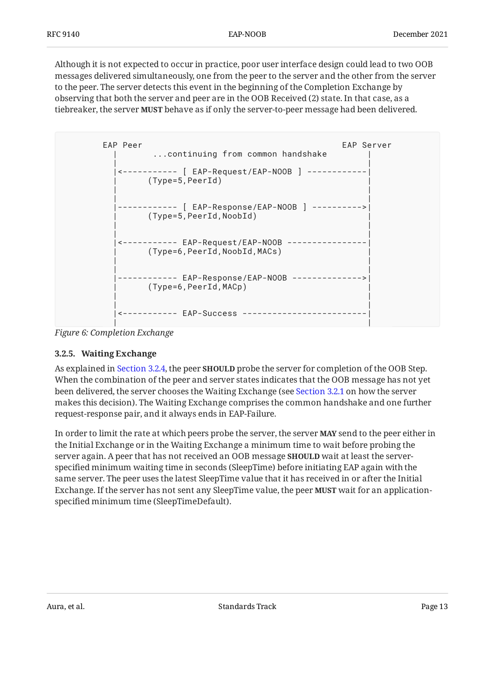Although it is not expected to occur in practice, poor user interface design could lead to two OOB messages delivered simultaneously, one from the peer to the server and the other from the server to the peer. The server detects this event in the beginning of the Completion Exchange by observing that both the server and peer are in the OOB Received (2) state. In that case, as a tiebreaker, the server MUST behave as if only the server-to-peer message had been delivered.

```
EAP Peer EAP Server
     ...continuing from common handshake
 | |
  |<----------- [ EAP-Request/EAP-NOOB ] ------------|
     | (Type=5,PeerId) |
 | |
 | |
  |------------ [ EAP-Response/EAP-NOOB ] ---------->|
     | (Type=5,PeerId,NoobId) |
 | |
 | |
 |<----------- EAP-Request/EAP-NOOB ----------------|
     | (Type=6,PeerId,NoobId,MACs) |
 | |
 | |
  |------------ EAP-Response/EAP-NOOB -------------->|
     | (Type=6,PeerId,MACp) |
 | |
 | |
  |<----------- EAP-Success -------------------------|
 | |
```
<span id="page-12-0"></span>*[Figure 6: Completion Exchange](#page-12-1)* 

#### **[3.2.5. Waiting Exchange](#page-12-0)**

As explained in [Section 3.2.4,](#page-11-0) the peer **SHOULD** probe the server for completion of the OOB Step. When the combination of the peer and server states indicates that the OOB message has not yet been delivered, the server chooses the Waiting Exchange (see [Section 3.2.1](#page-7-1) on how the server makes this decision). The Waiting Exchange comprises the common handshake and one further request-response pair, and it always ends in EAP-Failure.

In order to limit the rate at which peers probe the server, the server **MAY** send to the peer either in the Initial Exchange or in the Waiting Exchange a minimum time to wait before probing the server again. A peer that has not received an OOB message **SHOULD** wait at least the serverspecified minimum waiting time in seconds (SleepTime) before initiating EAP again with the same server. The peer uses the latest SleepTime value that it has received in or after the Initial Exchange. If the server has not sent any SleepTime value, the peer **MUST** wait for an applicationspecified minimum time (SleepTimeDefault).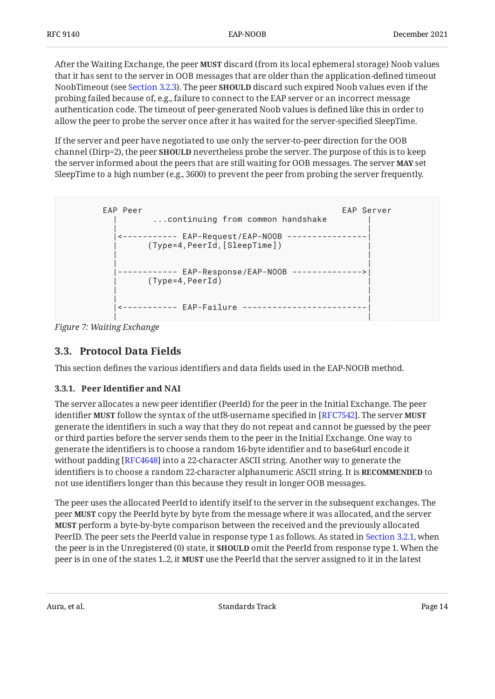After the Waiting Exchange, the peer **MUST** discard (from its local ephemeral storage) Noob values that it has sent to the server in OOB messages that are older than the application-defined timeout NoobTimeout (see [Section 3.2.3](#page-9-0)). The peer **SHOULD** discard such expired Noob values even if the probing failed because of, e.g., failure to connect to the EAP server or an incorrect message authentication code. The timeout of peer-generated Noob values is defined like this in order to allow the peer to probe the server once after it has waited for the server-specified SleepTime.

If the server and peer have negotiated to use only the server-to-peer direction for the OOB channel (Dirp=2), the peer **SHOULD** nevertheless probe the server. The purpose of this is to keep the server informed about the peers that are still waiting for OOB messages. The server **MAY** set SleepTime to a high number (e.g., 3600) to prevent the peer from probing the server frequently.

```
EAP Peer EAP Server
    ...continuing from common handshake
 | |
  |<----------- EAP-Request/EAP-NOOB ----------------|
     | (Type=4,PeerId,[SleepTime]) |
 | |
 | |
  |------------ EAP-Response/EAP-NOOB -------------->|
    (Type=4,PeerId)
 | |
 | |
  |<----------- EAP-Failure -------------------------|
 | |
```
<span id="page-13-0"></span>*[Figure 7: Waiting Exchange](#page-13-2)* 

## **[3.3. Protocol Data Fields](#page-13-0)**

<span id="page-13-1"></span>This section defines the various identifiers and data fields used in the EAP-NOOB method.

### **[3.3.1. Peer Identi](#page-13-1)fier and NAI**

The server allocates a new peer identifier (PeerId) for the peer in the Initial Exchange. The peer identifier **MUST** follow the syntax of the utf8-username specified in [RFC7542]. The server **MUST** generate the identifiers in such a way that they do not repeat and cannot be guessed by the peer or third parties before the server sends them to the peer in the Initial Exchange. One way to generate the identifiers is to choose a random 16-byte identifier and to base64url encode it without padding [RFC4648] into a 22-character ASCII string. Another way to generate the identifiers is to choose a random 22-character alphanumeric ASCII string. It is **RECOMMENDED** to not use identifiers longer than this because they result in longer OOB messages.

The peer uses the allocated PeerId to identify itself to the server in the subsequent exchanges. The peer **MUST** copy the PeerId byte by byte from the message where it was allocated, and the server **MUST** perform a byte-by-byte comparison between the received and the previously allocated PeerID. The peer sets the PeerId value in response type 1 as follows. As stated in [Section 3.2.1,](#page-7-1) when the peer is in the Unregistered (0) state, it **SHOULD** omit the PeerId from response type 1. When the peer is in one of the states 1..2, it **MUST** use the PeerId that the server assigned to it in the latest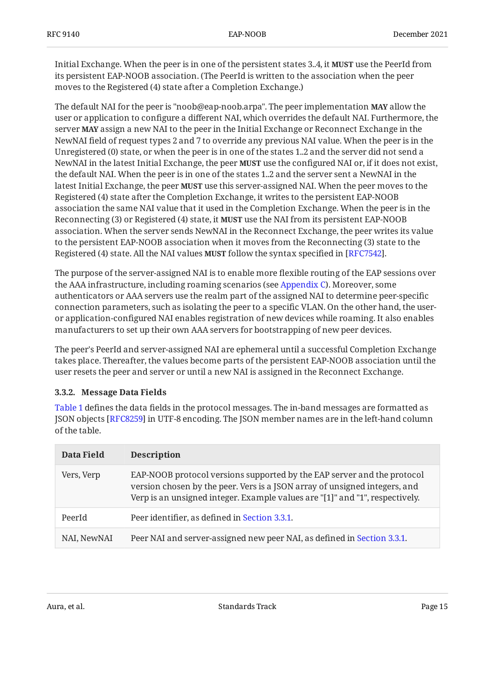Initial Exchange. When the peer is in one of the persistent states 3..4, it **MUST** use the PeerId from its persistent EAP-NOOB association. (The PeerId is written to the association when the peer moves to the Registered (4) state after a Completion Exchange.)

The default NAI for the peer is "noob@eap-noob.arpa". The peer implementation **MAY** allow the user or application to configure a different NAI, which overrides the default NAI. Furthermore, the server **MAY** assign a new NAI to the peer in the Initial Exchange or Reconnect Exchange in the NewNAI field of request types 2 and 7 to override any previous NAI value. When the peer is in the Unregistered (0) state, or when the peer is in one of the states 1..2 and the server did not send a NewNAI in the latest Initial Exchange, the peer **MUST** use the configured NAI or, if it does not exist, the default NAI. When the peer is in one of the states 1..2 and the server sent a NewNAI in the latest Initial Exchange, the peer **MUST** use this server-assigned NAI. When the peer moves to the Registered (4) state after the Completion Exchange, it writes to the persistent EAP-NOOB association the same NAI value that it used in the Completion Exchange. When the peer is in the Reconnecting (3) or Registered (4) state, it **MUST** use the NAI from its persistent EAP-NOOB association. When the server sends NewNAI in the Reconnect Exchange, the peer writes its value to the persistent EAP-NOOB association when it moves from the Reconnecting (3) state to the Registered (4) state. All the NAI values **MUST** follow the syntax specified in [RFC7542].

The purpose of the server-assigned NAI is to enable more flexible routing of the EAP sessions over the AAA infrastructure, including roaming scenarios (see [Appendix C](#page-48-1)). Moreover, some authenticators or AAA servers use the realm part of the assigned NAI to determine peer-specific connection parameters, such as isolating the peer to a specific VLAN. On the other hand, the useror application-configured NAI enables registration of new devices while roaming. It also enables manufacturers to set up their own AAA servers for bootstrapping of new peer devices.

The peer's PeerId and server-assigned NAI are ephemeral until a successful Completion Exchange takes place. Thereafter, the values become parts of the persistent EAP-NOOB association until the user resets the peer and server or until a new NAI is assigned in the Reconnect Exchange.

#### <span id="page-14-0"></span>**[3.3.2. Message Data Fields](#page-14-0)**

[Table 1](#page-14-1) defines the data fields in the protocol messages. The in-band messages are formatted as JSON objects [[RFC8259\]](#page-45-5) in UTF-8 encoding. The JSON member names are in the left-hand column of the table.

<span id="page-14-1"></span>

| Data Field  | <b>Description</b>                                                                                                                                                                                                                    |
|-------------|---------------------------------------------------------------------------------------------------------------------------------------------------------------------------------------------------------------------------------------|
| Vers, Verp  | EAP-NOOB protocol versions supported by the EAP server and the protocol<br>version chosen by the peer. Vers is a JSON array of unsigned integers, and<br>Verp is an unsigned integer. Example values are "[1]" and "1", respectively. |
| PeerId      | Peer identifier, as defined in Section 3.3.1.                                                                                                                                                                                         |
| NAI, NewNAI | Peer NAI and server-assigned new peer NAI, as defined in Section 3.3.1.                                                                                                                                                               |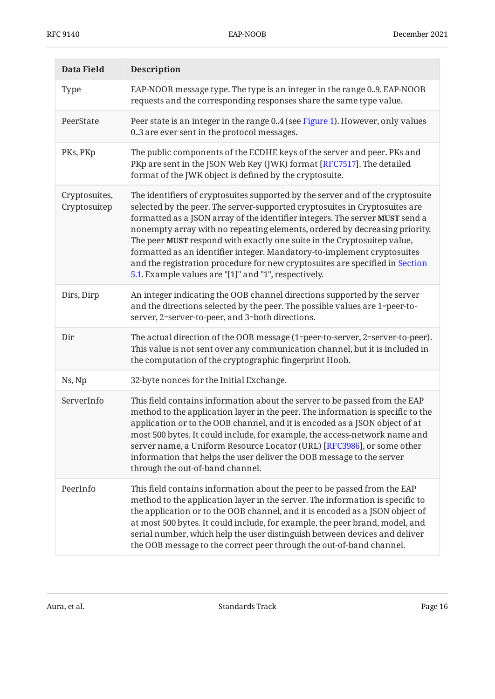| Data Field                    | <b>Description</b>                                                                                                                                                                                                                                                                                                                                                                                                                                                                                                                                                                                                        |
|-------------------------------|---------------------------------------------------------------------------------------------------------------------------------------------------------------------------------------------------------------------------------------------------------------------------------------------------------------------------------------------------------------------------------------------------------------------------------------------------------------------------------------------------------------------------------------------------------------------------------------------------------------------------|
| <b>Type</b>                   | EAP-NOOB message type. The type is an integer in the range 09. EAP-NOOB<br>requests and the corresponding responses share the same type value.                                                                                                                                                                                                                                                                                                                                                                                                                                                                            |
| PeerState                     | Peer state is an integer in the range 0.4 (see Figure 1). However, only values<br>0.3 are ever sent in the protocol messages.                                                                                                                                                                                                                                                                                                                                                                                                                                                                                             |
| PKs, PKp                      | The public components of the ECDHE keys of the server and peer. PKs and<br>PKp are sent in the JSON Web Key (JWK) format [RFC7517]. The detailed<br>format of the JWK object is defined by the cryptosuite.                                                                                                                                                                                                                                                                                                                                                                                                               |
| Cryptosuites,<br>Cryptosuitep | The identifiers of cryptosuites supported by the server and of the cryptosuite<br>selected by the peer. The server-supported cryptosuites in Cryptosuites are<br>formatted as a JSON array of the identifier integers. The server MUST send a<br>nonempty array with no repeating elements, ordered by decreasing priority.<br>The peer MUST respond with exactly one suite in the Cryptosuitep value,<br>formatted as an identifier integer. Mandatory-to-implement cryptosuites<br>and the registration procedure for new cryptosuites are specified in Section<br>5.1. Example values are "[1]" and "1", respectively. |
| Dirs, Dirp                    | An integer indicating the OOB channel directions supported by the server<br>and the directions selected by the peer. The possible values are 1=peer-to-<br>server, 2=server-to-peer, and 3=both directions.                                                                                                                                                                                                                                                                                                                                                                                                               |
| Dir                           | The actual direction of the OOB message (1=peer-to-server, 2=server-to-peer).<br>This value is not sent over any communication channel, but it is included in<br>the computation of the cryptographic fingerprint Hoob.                                                                                                                                                                                                                                                                                                                                                                                                   |
| Ns, Np                        | 32-byte nonces for the Initial Exchange.                                                                                                                                                                                                                                                                                                                                                                                                                                                                                                                                                                                  |
| ServerInfo                    | This field contains information about the server to be passed from the EAP<br>method to the application layer in the peer. The information is specific to the<br>application or to the OOB channel, and it is encoded as a JSON object of at<br>most 500 bytes. It could include, for example, the access-network name and<br>server name, a Uniform Resource Locator (URL) [RFC3986], or some other<br>information that helps the user deliver the OOB message to the server<br>through the out-of-band channel.                                                                                                         |
| PeerInfo                      | This field contains information about the peer to be passed from the EAP<br>method to the application layer in the server. The information is specific to<br>the application or to the OOB channel, and it is encoded as a JSON object of<br>at most 500 bytes. It could include, for example, the peer brand, model, and<br>serial number, which help the user distinguish between devices and deliver<br>the OOB message to the correct peer through the out-of-band channel.                                                                                                                                           |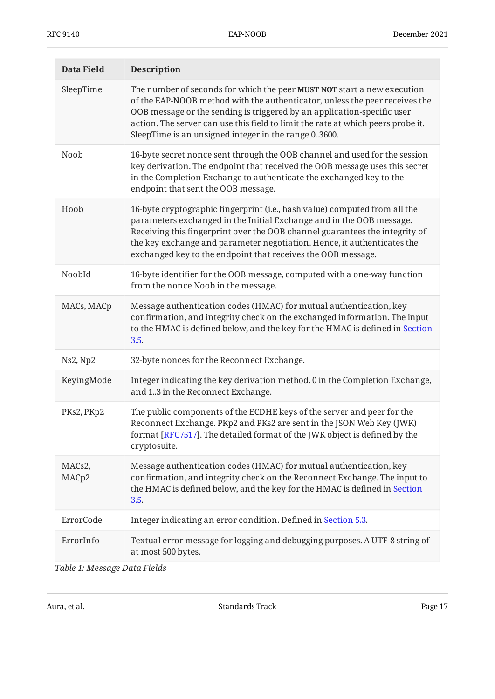| Data Field      | <b>Description</b>                                                                                                                                                                                                                                                                                                                                                            |
|-----------------|-------------------------------------------------------------------------------------------------------------------------------------------------------------------------------------------------------------------------------------------------------------------------------------------------------------------------------------------------------------------------------|
| SleepTime       | The number of seconds for which the peer MUST NOT start a new execution<br>of the EAP-NOOB method with the authenticator, unless the peer receives the<br>OOB message or the sending is triggered by an application-specific user<br>action. The server can use this field to limit the rate at which peers probe it.<br>SleepTime is an unsigned integer in the range 03600. |
| Noob            | 16-byte secret nonce sent through the OOB channel and used for the session<br>key derivation. The endpoint that received the OOB message uses this secret<br>in the Completion Exchange to authenticate the exchanged key to the<br>endpoint that sent the OOB message.                                                                                                       |
| Hoob            | 16-byte cryptographic fingerprint (i.e., hash value) computed from all the<br>parameters exchanged in the Initial Exchange and in the OOB message.<br>Receiving this fingerprint over the OOB channel guarantees the integrity of<br>the key exchange and parameter negotiation. Hence, it authenticates the<br>exchanged key to the endpoint that receives the OOB message.  |
| NoobId          | 16-byte identifier for the OOB message, computed with a one-way function<br>from the nonce Noob in the message.                                                                                                                                                                                                                                                               |
| MACs, MACp      | Message authentication codes (HMAC) for mutual authentication, key<br>confirmation, and integrity check on the exchanged information. The input<br>to the HMAC is defined below, and the key for the HMAC is defined in Section<br>3.5.                                                                                                                                       |
| Ns2, Np2        | 32-byte nonces for the Reconnect Exchange.                                                                                                                                                                                                                                                                                                                                    |
| KeyingMode      | Integer indicating the key derivation method. 0 in the Completion Exchange,<br>and 13 in the Reconnect Exchange.                                                                                                                                                                                                                                                              |
| PKs2, PKp2      | The public components of the ECDHE keys of the server and peer for the<br>Reconnect Exchange. PKp2 and PKs2 are sent in the JSON Web Key (JWK)<br>format [RFC7517]. The detailed format of the JWK object is defined by the<br>cryptosuite.                                                                                                                                   |
| MACs2,<br>MACp2 | Message authentication codes (HMAC) for mutual authentication, key<br>confirmation, and integrity check on the Reconnect Exchange. The input to<br>the HMAC is defined below, and the key for the HMAC is defined in Section<br>3.5.                                                                                                                                          |
| ErrorCode       | Integer indicating an error condition. Defined in Section 5.3.                                                                                                                                                                                                                                                                                                                |
| ErrorInfo       | Textual error message for logging and debugging purposes. A UTF-8 string of<br>at most 500 bytes.                                                                                                                                                                                                                                                                             |

*[Table 1: Message Data Fields](#page-14-1)*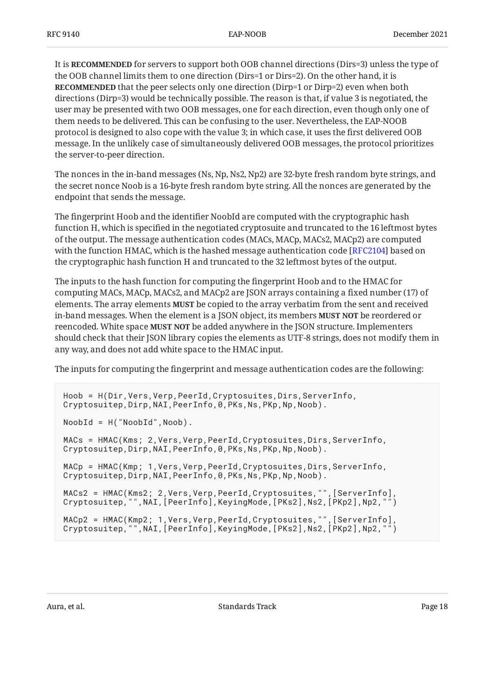It is **RECOMMENDED** for servers to support both OOB channel directions (Dirs=3) unless the type of the OOB channel limits them to one direction (Dirs=1 or Dirs=2). On the other hand, it is **RECOMMENDED** that the peer selects only one direction (Dirp=1 or Dirp=2) even when both directions (Dirp=3) would be technically possible. The reason is that, if value 3 is negotiated, the user may be presented with two OOB messages, one for each direction, even though only one of them needs to be delivered. This can be confusing to the user. Nevertheless, the EAP-NOOB protocol is designed to also cope with the value 3; in which case, it uses the first delivered OOB message. In the unlikely case of simultaneously delivered OOB messages, the protocol prioritizes the server-to-peer direction.

The nonces in the in-band messages (Ns, Np, Ns2, Np2) are 32-byte fresh random byte strings, and the secret nonce Noob is a 16-byte fresh random byte string. All the nonces are generated by the endpoint that sends the message.

The fingerprint Hoob and the identifier NoobId are computed with the cryptographic hash function H, which is specified in the negotiated cryptosuite and truncated to the 16 leftmost bytes of the output. The message authentication codes (MACs, MACp, MACs2, MACp2) are computed with the function HMAC, which is the hashed message authentication code [RFC2104] based on the cryptographic hash function H and truncated to the 32 leftmost bytes of the output.

The inputs to the hash function for computing the fingerprint Hoob and to the HMAC for computing MACs, MACp, MACs2, and MACp2 are JSON arrays containing a fixed number (17) of elements. The array elements **MUST** be copied to the array verbatim from the sent and received in-band messages. When the element is a JSON object, its members **MUST NOT** be reordered or reencoded. White space **MUST NOT** be added anywhere in the JSON structure. Implementers should check that their JSON library copies the elements as UTF-8 strings, does not modify them in any way, and does not add white space to the HMAC input.

The inputs for computing the fingerprint and message authentication codes are the following:

```
Hoob = H(Dir, Vers, Very, Pearl, Cryptosuites, Dirs, ServerInfo,Cryptosuitep,Dirp,NAI,PeerInfo,0,PKs,Ns,PKp,Np,Noob).
NoobId = H("NoobId",Noob).
MACs = HMAC(Kms; 2, Vers, Verp, PeerId, Cryptosuites, Dirs, ServerInfo,
Cryptosuitep,Dirp,NAI,PeerInfo,0,PKs,Ns,PKp,Np,Noob).
MACp = HMAC(Kmp; 1, Vers, Verp, PeerId, Cryptosuites, Dirs, ServerInfo,
Cryptosuitep, Dirp, NAI, PeerInfo, 0, PKs, Ns, PKp, Np, Noob).
MACs2 = HMAC(Kms2; 2, Vers, Verp, PeerId, Cryptosuites, "", [ServerInfo],
Cryptosuitep,"",NAI,[PeerInfo],KeyingMode,[PKs2],Ns2,[PKp2],Np2,"")
MACp2 = HMAC(Kmp2; 1,Vers,Verp,PeerId,Cryptosuites,"",[ServerInfo],
Cryptosuitep,"",NAI,[PeerInfo],KeyingMode,[PKs2],Ns2,[PKp2],Np2,"")
```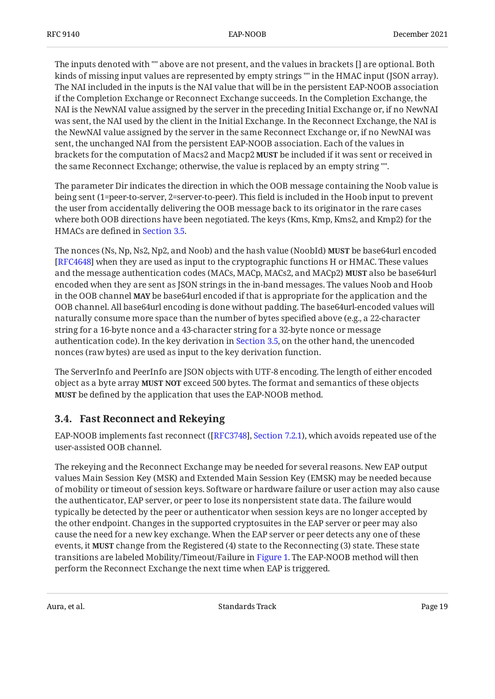The inputs denoted with "" above are not present, and the values in brackets [] are optional. Both kinds of missing input values are represented by empty strings "" in the HMAC input (JSON array). The NAI included in the inputs is the NAI value that will be in the persistent EAP-NOOB association if the Completion Exchange or Reconnect Exchange succeeds. In the Completion Exchange, the NAI is the NewNAI value assigned by the server in the preceding Initial Exchange or, if no NewNAI was sent, the NAI used by the client in the Initial Exchange. In the Reconnect Exchange, the NAI is the NewNAI value assigned by the server in the same Reconnect Exchange or, if no NewNAI was sent, the unchanged NAI from the persistent EAP-NOOB association. Each of the values in brackets for the computation of Macs2 and Macp2 **MUST** be included if it was sent or received in the same Reconnect Exchange; otherwise, the value is replaced by an empty string "".

The parameter Dir indicates the direction in which the OOB message containing the Noob value is being sent (1=peer-to-server, 2=server-to-peer). This field is included in the Hoob input to prevent the user from accidentally delivering the OOB message back to its originator in the rare cases where both OOB directions have been negotiated. The keys (Kms, Kmp, Kms2, and Kmp2) for the HMACs are defined in [Section 3.5.](#page-23-0)

The nonces (Ns, Np, Ns2, Np2, and Noob) and the hash value (NoobId) **MUST** be base64url encoded [[RFC4648\]](#page-44-3) when they are used as input to the cryptographic functions H or HMAC. These values and the message authentication codes (MACs, MACp, MACs2, and MACp2) **MUST** also be base64url encoded when they are sent as JSON strings in the in-band messages. The values Noob and Hoob in the OOB channel **MAY** be base64url encoded if that is appropriate for the application and the OOB channel. All base64url encoding is done without padding. The base64url-encoded values will naturally consume more space than the number of bytes specified above (e.g., a 22-character string for a 16-byte nonce and a 43-character string for a 32-byte nonce or message authentication code). In the key derivation in [Section 3.5](#page-23-0), on the other hand, the unencoded nonces (raw bytes) are used as input to the key derivation function.

The ServerInfo and PeerInfo are JSON objects with UTF-8 encoding. The length of either encoded object as a byte array MUST NOT exceed 500 bytes. The format and semantics of these objects be defined by the application that uses the EAP-NOOB method. **MUST**

### <span id="page-18-0"></span>**[3.4. Fast Reconnect and Rekeying](#page-18-0)**

EAP-NOOB implements fast reconnect ([\[RFC3748\]](#page-44-6), [Section 7.2.1](https://www.rfc-editor.org/rfc/rfc3748#section-7.2.1)), which avoids repeated use of the user-assisted OOB channel.

The rekeying and the Reconnect Exchange may be needed for several reasons. New EAP output values Main Session Key (MSK) and Extended Main Session Key (EMSK) may be needed because of mobility or timeout of session keys. Software or hardware failure or user action may also cause the authenticator, EAP server, or peer to lose its nonpersistent state data. The failure would typically be detected by the peer or authenticator when session keys are no longer accepted by the other endpoint. Changes in the supported cryptosuites in the EAP server or peer may also cause the need for a new key exchange. When the EAP server or peer detects any one of these events, it **MUST** change from the Registered (4) state to the Reconnecting (3) state. These state transitions are labeled Mobility/Timeout/Failure in [Figure 1.](#page-5-0) The EAP-NOOB method will then perform the Reconnect Exchange the next time when EAP is triggered.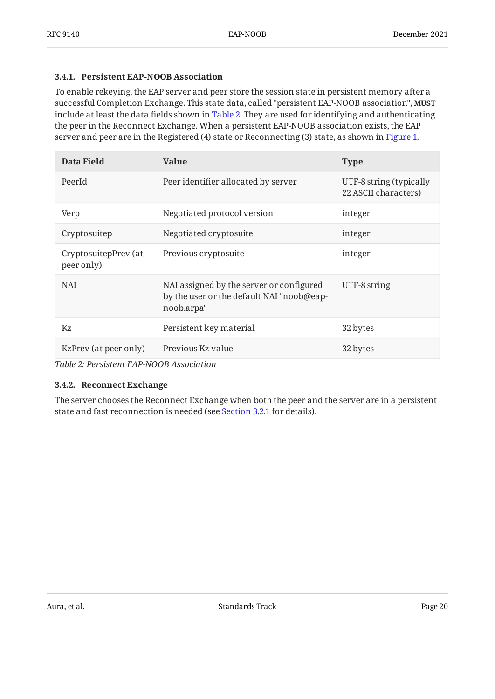#### <span id="page-19-0"></span>**[3.4.1. Persistent EAP-NOOB Association](#page-19-0)**

To enable rekeying, the EAP server and peer store the session state in persistent memory after a successful Completion Exchange. This state data, called "persistent EAP-NOOB association", **MUST** include at least the data fields shown in [Table 2.](#page-19-2) They are used for identifying and authenticating the peer in the Reconnect Exchange. When a persistent EAP-NOOB association exists, the EAP server and peer are in the Registered (4) state or Reconnecting (3) state, as shown in [Figure 1.](#page-5-0)

<span id="page-19-2"></span>

| Data Field                         | <b>Value</b>                                                                                        | <b>Type</b>                                     |
|------------------------------------|-----------------------------------------------------------------------------------------------------|-------------------------------------------------|
| PeerId                             | Peer identifier allocated by server                                                                 | UTF-8 string (typically<br>22 ASCII characters) |
| Verp                               | Negotiated protocol version                                                                         | integer                                         |
| Cryptosuitep                       | Negotiated cryptosuite                                                                              | integer                                         |
| CryptosuitepPrev (at<br>peer only) | Previous cryptosuite                                                                                | integer                                         |
| <b>NAI</b>                         | NAI assigned by the server or configured<br>by the user or the default NAI "noob@eap-<br>noob.arpa" | UTF-8 string                                    |
| Kz                                 | Persistent key material                                                                             | 32 bytes                                        |
| KzPrev (at peer only)              | Previous Kz value                                                                                   | 32 bytes                                        |

<span id="page-19-1"></span>*[Table 2: Persistent EAP-NOOB Association](#page-19-2)* 

#### **[3.4.2. Reconnect Exchange](#page-19-1)**

The server chooses the Reconnect Exchange when both the peer and the server are in a persistent state and fast reconnection is needed (see [Section 3.2.1](#page-7-1) for details).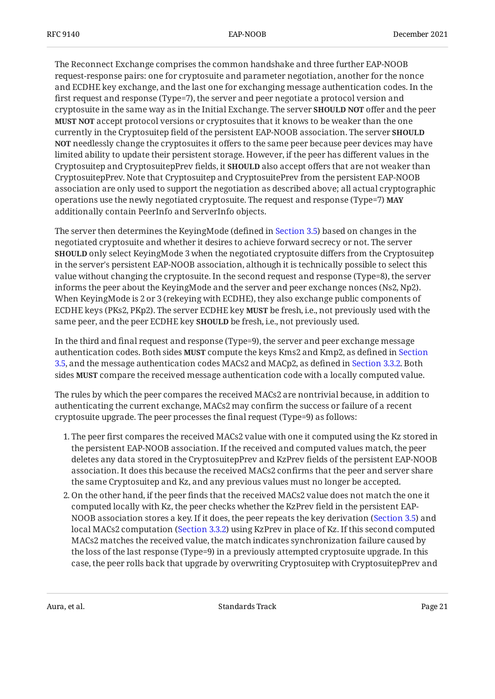The Reconnect Exchange comprises the common handshake and three further EAP-NOOB request-response pairs: one for cryptosuite and parameter negotiation, another for the nonce and ECDHE key exchange, and the last one for exchanging message authentication codes. In the first request and response (Type=7), the server and peer negotiate a protocol version and cryptosuite in the same way as in the Initial Exchange. The server **SHOULD NOT** offer and the peer **MUST NOT** accept protocol versions or cryptosuites that it knows to be weaker than the one currently in the Cryptosuitep field of the persistent EAP-NOOB association. The server **SHOULD NOT** needlessly change the cryptosuites it offers to the same peer because peer devices may have limited ability to update their persistent storage. However, if the peer has different values in the Cryptosuitep and CryptosuitepPrev fields, it **SHOULD** also accept offers that are not weaker than CryptosuitepPrev. Note that Cryptosuitep and CryptosuitePrev from the persistent EAP-NOOB association are only used to support the negotiation as described above; all actual cryptographic operations use the newly negotiated cryptosuite. The request and response (Type=7) **MAY** additionally contain PeerInfo and ServerInfo objects.

The server then determines the KeyingMode (defined in [Section 3.5](#page-23-0)) based on changes in the negotiated cryptosuite and whether it desires to achieve forward secrecy or not. The server **SHOULD** only select KeyingMode 3 when the negotiated cryptosuite differs from the Cryptosuitep in the server's persistent EAP-NOOB association, although it is technically possible to select this value without changing the cryptosuite. In the second request and response (Type=8), the server informs the peer about the KeyingMode and the server and peer exchange nonces (Ns2, Np2). When KeyingMode is 2 or 3 (rekeying with ECDHE), they also exchange public components of ECDHE keys (PKs2, PKp2). The server ECDHE key **MUST** be fresh, i.e., not previously used with the same peer, and the peer ECDHE key **SHOULD** be fresh, i.e., not previously used.

In the third and final request and response (Type=9), the server and peer exchange message authentication codes. Both sides **MUST** compute the keys Kms2 and Kmp2, as defined in [Section](#page-23-0) [3.5,](#page-23-0) and the message authentication codes MACs2 and MACp2, as defined in [Section 3.3.2.](#page-14-0) Both sides **MUST** compare the received message authentication code with a locally computed value.

The rules by which the peer compares the received MACs2 are nontrivial because, in addition to authenticating the current exchange, MACs2 may confirm the success or failure of a recent cryptosuite upgrade. The peer processes the final request (Type=9) as follows:

- 1. The peer first compares the received MACs2 value with one it computed using the Kz stored in the persistent EAP-NOOB association. If the received and computed values match, the peer deletes any data stored in the CryptosuitepPrev and KzPrev fields of the persistent EAP-NOOB association. It does this because the received MACs2 confirms that the peer and server share the same Cryptosuitep and Kz, and any previous values must no longer be accepted.
- 2. On the other hand, if the peer finds that the received MACs2 value does not match the one it computed locally with Kz, the peer checks whether the KzPrev field in the persistent EAP-NOOB association stores a key. If it does, the peer repeats the key derivation ([Section 3.5\)](#page-23-0) and local MACs2 computation ([Section 3.3.2\)](#page-14-0) using KzPrev in place of Kz. If this second computed MACs2 matches the received value, the match indicates synchronization failure caused by the loss of the last response (Type=9) in a previously attempted cryptosuite upgrade. In this case, the peer rolls back that upgrade by overwriting Cryptosuitep with CryptosuitepPrev and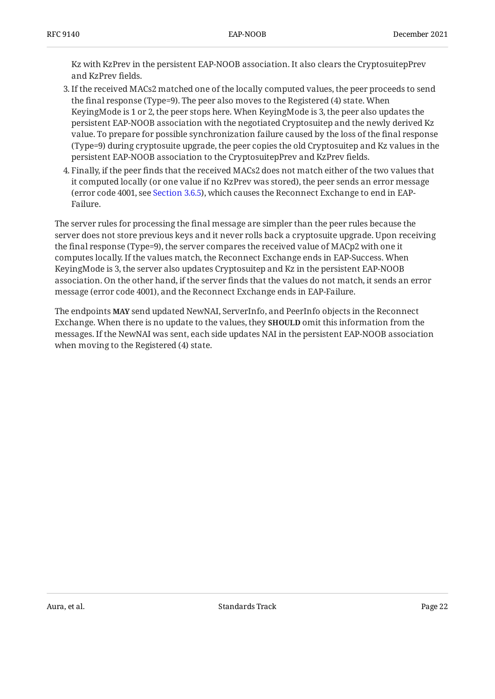Kz with KzPrev in the persistent EAP-NOOB association. It also clears the CryptosuitepPrev and KzPrev fields.

- If the received MACs2 matched one of the locally computed values, the peer proceeds to send 3. the final response (Type=9). The peer also moves to the Registered (4) state. When KeyingMode is 1 or 2, the peer stops here. When KeyingMode is 3, the peer also updates the persistent EAP-NOOB association with the negotiated Cryptosuitep and the newly derived Kz value. To prepare for possible synchronization failure caused by the loss of the final response (Type=9) during cryptosuite upgrade, the peer copies the old Cryptosuitep and Kz values in the persistent EAP-NOOB association to the CryptosuitepPrev and KzPrev fields.
- Finally, if the peer finds that the received MACs2 does not match either of the two values that 4. it computed locally (or one value if no KzPrev was stored), the peer sends an error message (error code 4001, see [Section 3.6.5\)](#page-28-1), which causes the Reconnect Exchange to end in EAP-Failure.

The server rules for processing the final message are simpler than the peer rules because the server does not store previous keys and it never rolls back a cryptosuite upgrade. Upon receiving the final response (Type=9), the server compares the received value of MACp2 with one it computes locally. If the values match, the Reconnect Exchange ends in EAP-Success. When KeyingMode is 3, the server also updates Cryptosuitep and Kz in the persistent EAP-NOOB association. On the other hand, if the server finds that the values do not match, it sends an error message (error code 4001), and the Reconnect Exchange ends in EAP-Failure.

<span id="page-21-0"></span>The endpoints **MAY** send updated NewNAI, ServerInfo, and PeerInfo objects in the Reconnect Exchange. When there is no update to the values, they **SHOULD** omit this information from the messages. If the NewNAI was sent, each side updates NAI in the persistent EAP-NOOB association when moving to the Registered (4) state.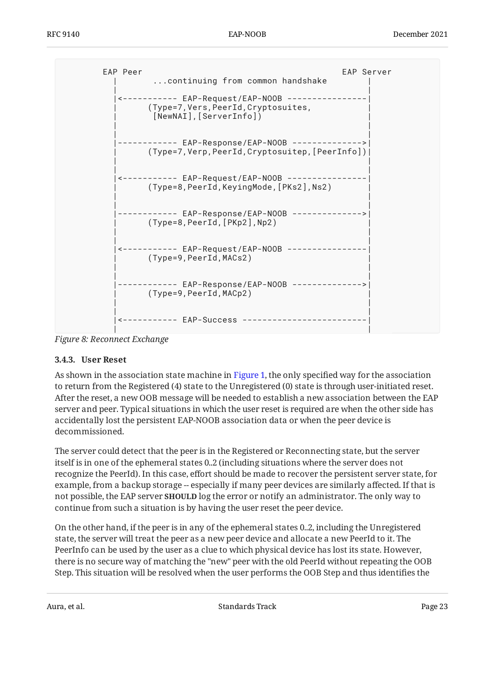<span id="page-22-1"></span>

| EAP Peer<br>continuing from common handshake                                                  | EAP Server |
|-----------------------------------------------------------------------------------------------|------------|
| (Type=7,Vers,PeerId,Cryptosuites,<br>[NewNAI], [ServerInfo])                                  |            |
| (Type=7,Verp,PeerId,Cryptosuitep,[PeerInfo])                                                  |            |
| <----------- EAP-Request/EAP-NOOB    ---------------<br>(Type=8,PeerId,KeyingMode,[PKs2],Ns2) |            |
| EAP-Response/EAP-NOOB --------------<br>(Type=8, PeerId, [PKp2], Np2)                         |            |
| <----------- EAP-Request/EAP-NOOB --------<br>(Type=9, PeerId, MACs2)                         |            |
| ---------- EAP-Response/EAP-NOOB --------------><br>(Type=9,PeerId,MACp2)                     |            |
| ------ EAP-Success --------                                                                   |            |

<span id="page-22-0"></span>*[Figure 8:](#page-22-1) [Reconnect Exchange](#page-21-0)* 

#### **[3.4.3. User Reset](#page-22-0)**

As shown in the association state machine in [Figure 1,](#page-5-0) the only specified way for the association to return from the Registered (4) state to the Unregistered (0) state is through user-initiated reset. After the reset, a new OOB message will be needed to establish a new association between the EAP server and peer. Typical situations in which the user reset is required are when the other side has accidentally lost the persistent EAP-NOOB association data or when the peer device is decommissioned.

The server could detect that the peer is in the Registered or Reconnecting state, but the server itself is in one of the ephemeral states 0..2 (including situations where the server does not recognize the PeerId). In this case, effort should be made to recover the persistent server state, for example, from a backup storage -- especially if many peer devices are similarly affected. If that is not possible, the EAP server **SHOULD** log the error or notify an administrator. The only way to continue from such a situation is by having the user reset the peer device.

On the other hand, if the peer is in any of the ephemeral states 0..2, including the Unregistered state, the server will treat the peer as a new peer device and allocate a new PeerId to it. The PeerInfo can be used by the user as a clue to which physical device has lost its state. However, there is no secure way of matching the "new" peer with the old PeerId without repeating the OOB Step. This situation will be resolved when the user performs the OOB Step and thus identifies the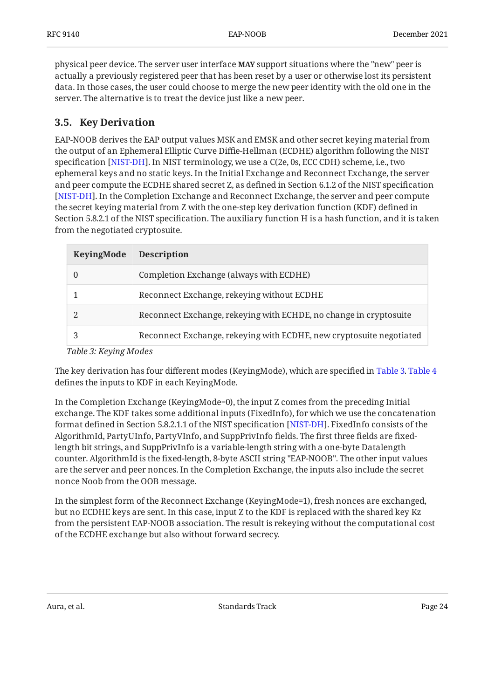physical peer device. The server user interface **MAY** support situations where the "new" peer is actually a previously registered peer that has been reset by a user or otherwise lost its persistent data. In those cases, the user could choose to merge the new peer identity with the old one in the server. The alternative is to treat the device just like a new peer.

### <span id="page-23-0"></span>**[3.5. Key Derivation](#page-23-0)**

EAP-NOOB derives the EAP output values MSK and EMSK and other secret keying material from the output of an Ephemeral Elliptic Curve Diffie-Hellman (ECDHE) algorithm following the NIST specification [NIST-DH]. In NIST terminology, we use a C(2e, 0s, ECC CDH) scheme, i.e., two ephemeral keys and no static keys. In the Initial Exchange and Reconnect Exchange, the server and peer compute the ECDHE shared secret Z, as defined in Section 6.1.2 of the NIST specification . In the Completion Exchange and Reconnect Exchange, the server and peer compute [[NIST-DH\]](#page-44-7) the secret keying material from Z with the one-step key derivation function (KDF) defined in Section 5.8.2.1 of the NIST specification. The auxiliary function H is a hash function, and it is taken from the negotiated cryptosuite.

<span id="page-23-2"></span><span id="page-23-1"></span>

| KeyingMode | <b>Description</b>                                                  |
|------------|---------------------------------------------------------------------|
|            | Completion Exchange (always with ECDHE)                             |
|            | Reconnect Exchange, rekeying without ECDHE                          |
|            | Reconnect Exchange, rekeying with ECHDE, no change in cryptosuite   |
|            | Reconnect Exchange, rekeying with ECDHE, new cryptosuite negotiated |

*[Table 3](#page-23-1): [Keying Modes](#page-23-2)* 

The key derivation has four different modes (KeyingMode), which are specified in [Table 3.](#page-23-2) [Table 4](#page-24-0) defines the inputs to KDF in each KeyingMode.

In the Completion Exchange (KeyingMode=0), the input Z comes from the preceding Initial exchange. The KDF takes some additional inputs (FixedInfo), for which we use the concatenation format defined in Section 5.8.2.1.1 of the NIST specification [[NIST-DH\]](#page-44-7). FixedInfo consists of the AlgorithmId, PartyUInfo, PartyVInfo, and SuppPrivInfo fields. The first three fields are fixedlength bit strings, and SuppPrivInfo is a variable-length string with a one-byte Datalength counter. AlgorithmId is the fixed-length, 8-byte ASCII string "EAP-NOOB". The other input values are the server and peer nonces. In the Completion Exchange, the inputs also include the secret nonce Noob from the OOB message.

In the simplest form of the Reconnect Exchange (KeyingMode=1), fresh nonces are exchanged, but no ECDHE keys are sent. In this case, input Z to the KDF is replaced with the shared key Kz from the persistent EAP-NOOB association. The result is rekeying without the computational cost of the ECDHE exchange but also without forward secrecy.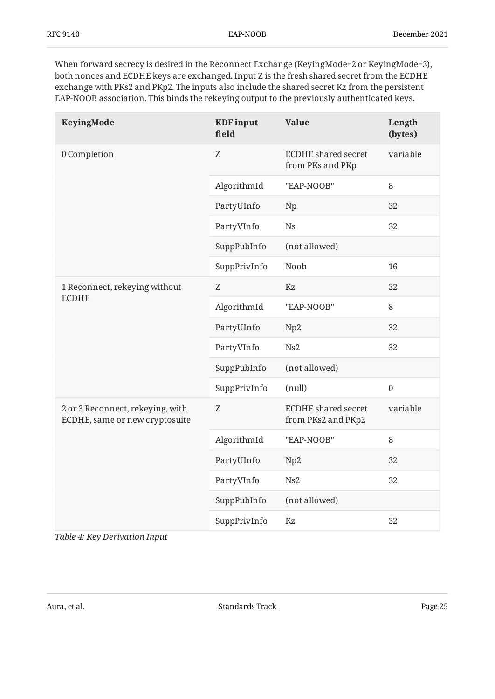When forward secrecy is desired in the Reconnect Exchange (KeyingMode=2 or KeyingMode=3), both nonces and ECDHE keys are exchanged. Input Z is the fresh shared secret from the ECDHE exchange with PKs2 and PKp2. The inputs also include the shared secret Kz from the persistent EAP-NOOB association. This binds the rekeying output to the previously authenticated keys.

<span id="page-24-0"></span>

| KeyingMode                                                         | <b>KDF</b> input<br>field | <b>Value</b>                                     | Length<br>(bytes) |
|--------------------------------------------------------------------|---------------------------|--------------------------------------------------|-------------------|
| 0 Completion                                                       | Z                         | <b>ECDHE</b> shared secret<br>from PKs and PKp   | variable          |
|                                                                    | AlgorithmId               | "EAP-NOOB"                                       | 8                 |
|                                                                    | PartyUInfo                | Np                                               | 32                |
|                                                                    | PartyVInfo                | <b>Ns</b>                                        | 32                |
|                                                                    | SuppPubInfo               | (not allowed)                                    |                   |
|                                                                    | SuppPrivInfo              | Noob                                             | 16                |
| 1 Reconnect, rekeying without                                      | Z                         | Kz                                               | 32                |
| <b>ECDHE</b>                                                       | AlgorithmId               | "EAP-NOOB"                                       | 8                 |
|                                                                    | PartyUInfo                | Np2                                              | 32                |
|                                                                    | PartyVInfo                | Ns2                                              | 32                |
|                                                                    | SuppPubInfo               | (not allowed)                                    |                   |
|                                                                    | SuppPrivInfo              | (null)                                           | $\boldsymbol{0}$  |
| 2 or 3 Reconnect, rekeying, with<br>ECDHE, same or new cryptosuite | Z                         | <b>ECDHE</b> shared secret<br>from PKs2 and PKp2 | variable          |
|                                                                    | AlgorithmId               | "EAP-NOOB"                                       | 8                 |
|                                                                    | PartyUInfo                | Np2                                              | 32                |
|                                                                    | PartyVInfo                | Ns2                                              | 32                |
|                                                                    | SuppPubInfo               | (not allowed)                                    |                   |
|                                                                    | SuppPrivInfo              | Kz                                               | 32                |

*[Table 4: Key Derivation Input](#page-24-0)*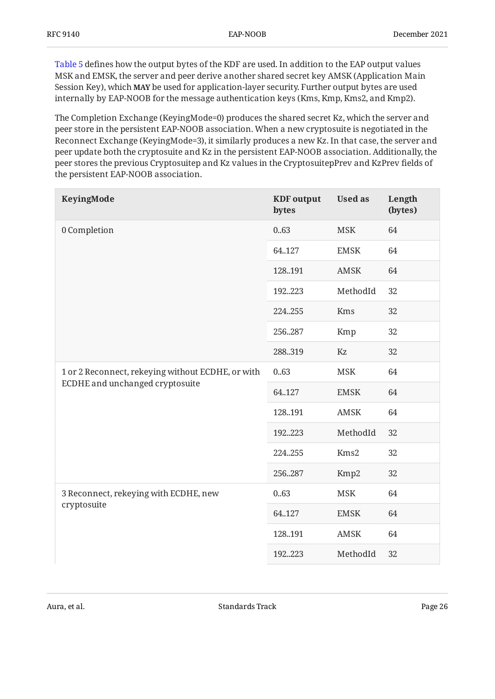[Table 5](#page-25-0) defines how the output bytes of the KDF are used. In addition to the EAP output values MSK and EMSK, the server and peer derive another shared secret key AMSK (Application Main Session Key), which **MAY** be used for application-layer security. Further output bytes are used internally by EAP-NOOB for the message authentication keys (Kms, Kmp, Kms2, and Kmp2).

The Completion Exchange (KeyingMode=0) produces the shared secret Kz, which the server and peer store in the persistent EAP-NOOB association. When a new cryptosuite is negotiated in the Reconnect Exchange (KeyingMode=3), it similarly produces a new Kz. In that case, the server and peer update both the cryptosuite and Kz in the persistent EAP-NOOB association. Additionally, the peer stores the previous Cryptosuitep and Kz values in the CryptosuitepPrev and KzPrev fields of the persistent EAP-NOOB association.

<span id="page-25-0"></span>

| KeyingMode                                                                           | <b>KDF</b> output<br>bytes | <b>Used as</b> | Length<br>(bytes) |
|--------------------------------------------------------------------------------------|----------------------------|----------------|-------------------|
| 0 Completion                                                                         | 0.63                       | <b>MSK</b>     | 64                |
|                                                                                      | 64.127                     | <b>EMSK</b>    | 64                |
|                                                                                      | 128.191                    | <b>AMSK</b>    | 64                |
|                                                                                      | 192223                     | MethodId       | 32                |
|                                                                                      | 224255                     | Kms            | 32                |
|                                                                                      | 256287                     | Kmp            | 32                |
|                                                                                      | 288319                     | Kz             | 32                |
| 1 or 2 Reconnect, rekeying without ECDHE, or with<br>ECDHE and unchanged cryptosuite | 0.63                       | <b>MSK</b>     | 64                |
|                                                                                      | 64.127                     | <b>EMSK</b>    | 64                |
|                                                                                      | 128.191                    | <b>AMSK</b>    | 64                |
|                                                                                      | 192223                     | MethodId       | 32                |
|                                                                                      | 224255                     | Kms2           | 32                |
|                                                                                      | 256.287                    | Kmp2           | 32                |
| 3 Reconnect, rekeying with ECDHE, new                                                | 0.63                       | <b>MSK</b>     | 64                |
| cryptosuite                                                                          | 64.127                     | <b>EMSK</b>    | 64                |
|                                                                                      | 128.191                    | AMSK           | 64                |
|                                                                                      | 192223                     | MethodId       | 32                |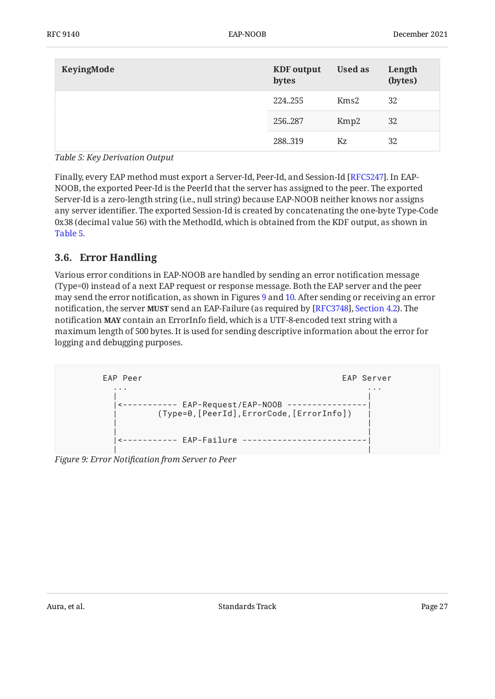| KeyingMode | <b>KDF</b> output<br>bytes | <b>Used as</b> | Length<br>(bytes) |
|------------|----------------------------|----------------|-------------------|
|            | 224255                     | Kms2           | 32                |
|            | 256287                     | Kmp2           | 32                |
|            | 288.319                    | Kz             | 32                |

*[Table 5: Key Derivation Output](#page-25-0)* 

Finally, every EAP method must export a Server-Id, Peer-Id, and Session-Id [RFC5247]. In EAP-NOOB, the exported Peer-Id is the PeerId that the server has assigned to the peer. The exported Server-Id is a zero-length string (i.e., null string) because EAP-NOOB neither knows nor assigns any server identifier. The exported Session-Id is created by concatenating the one-byte Type-Code 0x38 (decimal value 56) with the MethodId, which is obtained from the KDF output, as shown in [Table 5.](#page-25-0)

### <span id="page-26-0"></span>**[3.6. Error Handling](#page-26-0)**

Various error conditions in EAP-NOOB are handled by sending an error notification message (Type=0) instead of a next EAP request or response message. Both the EAP server and the peer may send the error notification, as shown in Figures [9](#page-26-1) and [10](#page-27-3). After sending or receiving an error notification, the server **MUST** send an EAP-Failure (as required by [RFC3748], Section 4.2). The notification **MAY** contain an ErrorInfo field, which is a UTF-8-encoded text string with a maximum length of 500 bytes. It is used for sending descriptive information about the error for logging and debugging purposes.

<span id="page-26-1"></span>

<span id="page-26-2"></span>*[Figure 9:](#page-26-1) Error Notifi[cation from Server to Peer](#page-26-1)*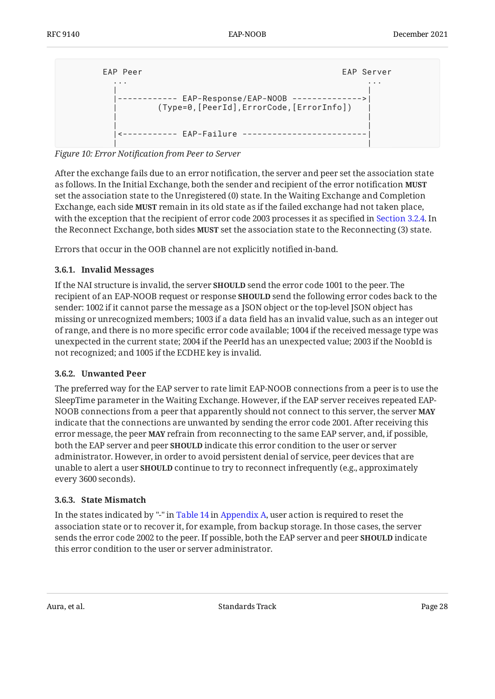```
EAP Peer EAP Server
 ... ...
 | |
 |------------ EAP-Response/EAP-NOOB -------------->|
     | (Type=0,[PeerId],ErrorCode,[ErrorInfo]) |
 | |
 | |
  |<----------- EAP-Failure -------------------------|
 | |
```
*[Figure 10:](#page-27-3) Error Notifi[cation from Peer to Server](#page-26-2)* 

After the exchange fails due to an error notification, the server and peer set the association state as follows. In the Initial Exchange, both the sender and recipient of the error notification **MUST** set the association state to the Unregistered (0) state. In the Waiting Exchange and Completion Exchange, each side **MUST** remain in its old state as if the failed exchange had not taken place, with the exception that the recipient of error code 2003 processes it as specified in [Section 3.2.4.](#page-11-0) In the Reconnect Exchange, both sides MUST set the association state to the Reconnecting (3) state.

<span id="page-27-0"></span>Errors that occur in the OOB channel are not explicitly notified in-band.

#### **[3.6.1. Invalid Messages](#page-27-0)**

If the NAI structure is invalid, the server **SHOULD** send the error code 1001 to the peer. The recipient of an EAP-NOOB request or response **SHOULD** send the following error codes back to the sender: 1002 if it cannot parse the message as a JSON object or the top-level JSON object has missing or unrecognized members; 1003 if a data field has an invalid value, such as an integer out of range, and there is no more specific error code available; 1004 if the received message type was unexpected in the current state; 2004 if the PeerId has an unexpected value; 2003 if the NoobId is not recognized; and 1005 if the ECDHE key is invalid.

#### <span id="page-27-1"></span>**[3.6.2. Unwanted Peer](#page-27-1)**

The preferred way for the EAP server to rate limit EAP-NOOB connections from a peer is to use the SleepTime parameter in the Waiting Exchange. However, if the EAP server receives repeated EAP-NOOB connections from a peer that apparently should not connect to this server, the server **MAY** indicate that the connections are unwanted by sending the error code 2001. After receiving this error message, the peer **MAY** refrain from reconnecting to the same EAP server, and, if possible, both the EAP server and peer **SHOULD** indicate this error condition to the user or server administrator. However, in order to avoid persistent denial of service, peer devices that are unable to alert a user **SHOULD** continue to try to reconnect infrequently (e.g., approximately every 3600 seconds).

#### <span id="page-27-2"></span>**[3.6.3. State Mismatch](#page-27-2)**

In the states indicated by "-" in [Table 14](#page-46-3) in [Appendix A](#page-46-0), user action is required to reset the association state or to recover it, for example, from backup storage. In those cases, the server sends the error code 2002 to the peer. If possible, both the EAP server and peer **SHOULD** indicate this error condition to the user or server administrator.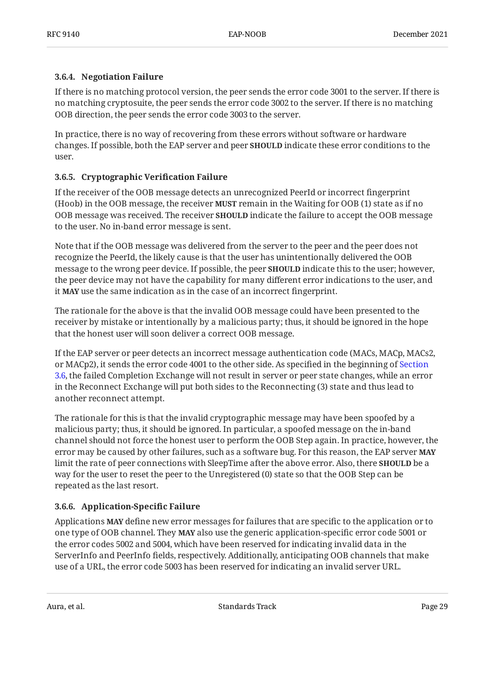#### <span id="page-28-0"></span>**[3.6.4. Negotiation Failure](#page-28-0)**

If there is no matching protocol version, the peer sends the error code 3001 to the server. If there is no matching cryptosuite, the peer sends the error code 3002 to the server. If there is no matching OOB direction, the peer sends the error code 3003 to the server.

In practice, there is no way of recovering from these errors without software or hardware changes. If possible, both the EAP server and peer **SHOULD** indicate these error conditions to the user.

#### <span id="page-28-1"></span>**[3.6.5. Cryptographic Veri](#page-28-1)fication Failure**

If the receiver of the OOB message detects an unrecognized PeerId or incorrect fingerprint (Hoob) in the OOB message, the receiver **MUST** remain in the Waiting for OOB (1) state as if no OOB message was received. The receiver **SHOULD** indicate the failure to accept the OOB message to the user. No in-band error message is sent.

Note that if the OOB message was delivered from the server to the peer and the peer does not recognize the PeerId, the likely cause is that the user has unintentionally delivered the OOB message to the wrong peer device. If possible, the peer **SHOULD** indicate this to the user; however, the peer device may not have the capability for many different error indications to the user, and it **MAY** use the same indication as in the case of an incorrect fingerprint.

The rationale for the above is that the invalid OOB message could have been presented to the receiver by mistake or intentionally by a malicious party; thus, it should be ignored in the hope that the honest user will soon deliver a correct OOB message.

If the EAP server or peer detects an incorrect message authentication code (MACs, MACp, MACs2, or MACp2), it sends the error code 4001 to the other side. As specified in the beginning of [Section](#page-26-0) [3.6,](#page-26-0) the failed Completion Exchange will not result in server or peer state changes, while an error in the Reconnect Exchange will put both sides to the Reconnecting (3) state and thus lead to another reconnect attempt.

The rationale for this is that the invalid cryptographic message may have been spoofed by a malicious party; thus, it should be ignored. In particular, a spoofed message on the in-band channel should not force the honest user to perform the OOB Step again. In practice, however, the error may be caused by other failures, such as a software bug. For this reason, the EAP server **MAY** limit the rate of peer connections with SleepTime after the above error. Also, there **SHOULD** be a way for the user to reset the peer to the Unregistered (0) state so that the OOB Step can be repeated as the last resort.

#### <span id="page-28-2"></span>**[3.6.6. Application-Speci](#page-28-2)fic Failure**

Applications **MAY** define new error messages for failures that are specific to the application or to one type of OOB channel. They MAY also use the generic application-specific error code 5001 or the error codes 5002 and 5004, which have been reserved for indicating invalid data in the ServerInfo and PeerInfo fields, respectively. Additionally, anticipating OOB channels that make use of a URL, the error code 5003 has been reserved for indicating an invalid server URL.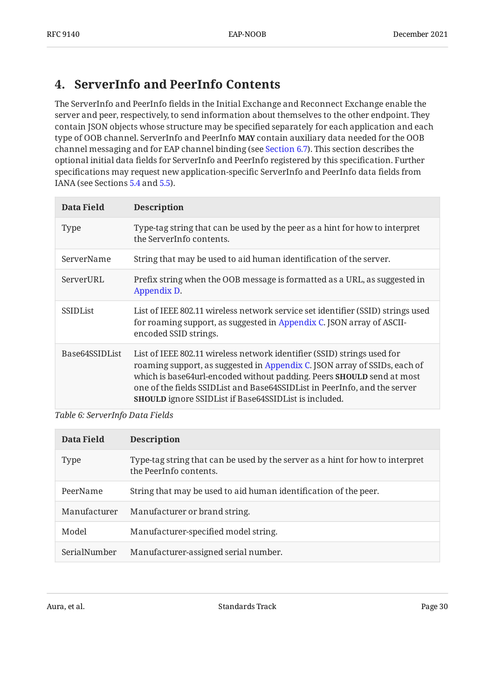## <span id="page-29-0"></span>**[4. ServerInfo and PeerInfo Contents](#page-29-0)**

The ServerInfo and PeerInfo fields in the Initial Exchange and Reconnect Exchange enable the server and peer, respectively, to send information about themselves to the other endpoint. They contain JSON objects whose structure may be specified separately for each application and each type of OOB channel. ServerInfo and PeerInfo **MAY** contain auxiliary data needed for the OOB channel messaging and for EAP channel binding (see [Section 6.7](#page-40-0)). This section describes the optional initial data fields for ServerInfo and PeerInfo registered by this specification. Further specifications may request new application-specific ServerInfo and PeerInfo data fields from IANA (see Sections [5.4](#page-33-0) and [5.5\)](#page-33-1).

<span id="page-29-1"></span>

| Data Field        | <b>Description</b>                                                                                                                                                                                                                                                                                                                                                         |
|-------------------|----------------------------------------------------------------------------------------------------------------------------------------------------------------------------------------------------------------------------------------------------------------------------------------------------------------------------------------------------------------------------|
| <b>Type</b>       | Type-tag string that can be used by the peer as a hint for how to interpret<br>the ServerInfo contents.                                                                                                                                                                                                                                                                    |
| ServerName        | String that may be used to aid human identification of the server.                                                                                                                                                                                                                                                                                                         |
| ServerURL         | Prefix string when the OOB message is formatted as a URL, as suggested in<br>Appendix D.                                                                                                                                                                                                                                                                                   |
| <b>SSIDList</b>   | List of IEEE 802.11 wireless network service set identifier (SSID) strings used<br>for roaming support, as suggested in Appendix C. JSON array of ASCII-<br>encoded SSID strings.                                                                                                                                                                                          |
| Base 64 SSID List | List of IEEE 802.11 wireless network identifier (SSID) strings used for<br>roaming support, as suggested in Appendix C. JSON array of SSIDs, each of<br>which is base64url-encoded without padding. Peers SHOULD send at most<br>one of the fields SSIDList and Base64SSIDList in PeerInfo, and the server<br><b>SHOULD</b> ignore SSIDList if Base64SSIDList is included. |

#### *[Table 6: ServerInfo Data Fields](#page-29-1)*

<span id="page-29-2"></span>

| Data Field   | <b>Description</b>                                                                                      |
|--------------|---------------------------------------------------------------------------------------------------------|
| <b>Type</b>  | Type-tag string that can be used by the server as a hint for how to interpret<br>the PeerInfo contents. |
| PeerName     | String that may be used to aid human identification of the peer.                                        |
| Manufacturer | Manufacturer or brand string.                                                                           |
| Model        | Manufacturer-specified model string.                                                                    |
| SerialNumber | Manufacturer-assigned serial number.                                                                    |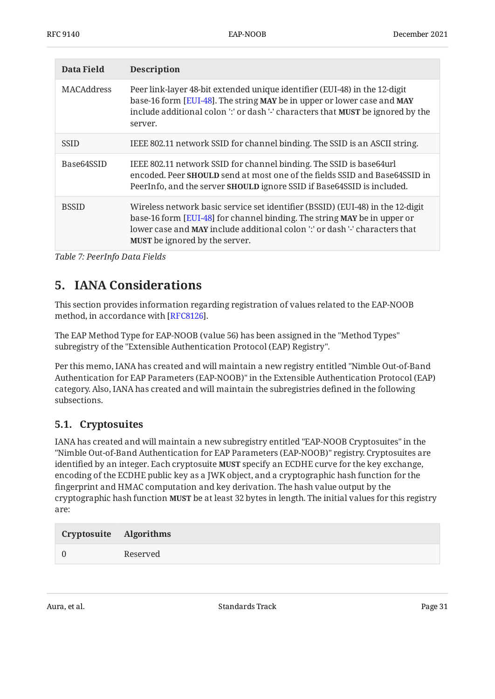| Data Field        | <b>Description</b>                                                                                                                                                                                                                                                                        |
|-------------------|-------------------------------------------------------------------------------------------------------------------------------------------------------------------------------------------------------------------------------------------------------------------------------------------|
| <b>MACAddress</b> | Peer link-layer 48-bit extended unique identifier (EUI-48) in the 12-digit<br>base-16 form [EUI-48]. The string MAY be in upper or lower case and MAY<br>include additional colon ':' or dash '-' characters that MUST be ignored by the<br>server.                                       |
| <b>SSID</b>       | IEEE 802.11 network SSID for channel binding. The SSID is an ASCII string.                                                                                                                                                                                                                |
| Base64SSID        | IEEE 802.11 network SSID for channel binding. The SSID is base 64 url<br>encoded. Peer <b>SHOULD</b> send at most one of the fields SSID and Base64SSID in<br>PeerInfo, and the server <b>SHOULD</b> ignore SSID if Base64SSID is included.                                               |
| <b>BSSID</b>      | Wireless network basic service set identifier (BSSID) (EUI-48) in the 12-digit<br>base-16 form [EUI-48] for channel binding. The string MAY be in upper or<br>lower case and <b>MAY</b> include additional colon ':' or dash '-' characters that<br><b>MUST</b> be ignored by the server. |

<span id="page-30-0"></span>*[Table 7: PeerInfo Data Fields](#page-29-2)* 

## **[5. IANA Considerations](#page-30-0)**

This section provides information regarding registration of values related to the EAP-NOOB method, in accordance with [[RFC8126\]](#page-45-7).

The EAP Method Type for EAP-NOOB (value 56) has been assigned in the "Method Types" subregistry of the "Extensible Authentication Protocol (EAP) Registry".

Per this memo, IANA has created and will maintain a new registry entitled "Nimble Out-of-Band Authentication for EAP Parameters (EAP-NOOB)" in the Extensible Authentication Protocol (EAP) category. Also, IANA has created and will maintain the subregistries defined in the following subsections.

### <span id="page-30-1"></span>**[5.1. Cryptosuites](#page-30-1)**

IANA has created and will maintain a new subregistry entitled "EAP-NOOB Cryptosuites" in the "Nimble Out-of-Band Authentication for EAP Parameters (EAP-NOOB)" registry. Cryptosuites are identified by an integer. Each cryptosuite **MUST** specify an ECDHE curve for the key exchange, encoding of the ECDHE public key as a JWK object, and a cryptographic hash function for the fingerprint and HMAC computation and key derivation. The hash value output by the cryptographic hash function **MUST** be at least 32 bytes in length. The initial values for this registry are:

<span id="page-30-2"></span>

| Cryptosuite Algorithms |          |
|------------------------|----------|
|                        | Reserved |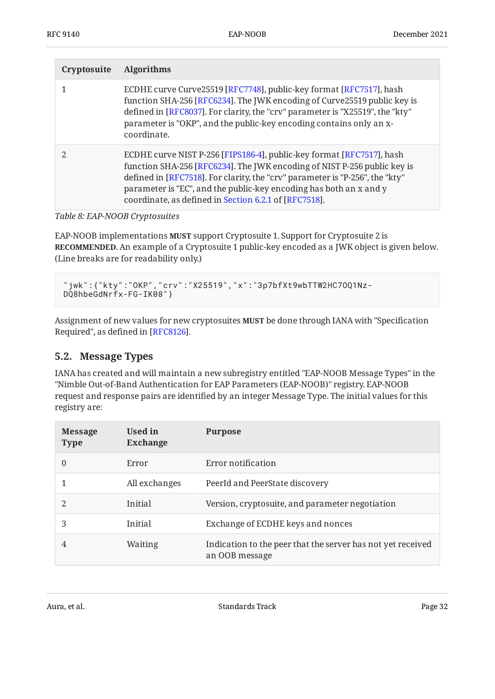| Cryptosuite | <b>Algorithms</b>                                                                                                                                                                                                                                                                                                                                                |
|-------------|------------------------------------------------------------------------------------------------------------------------------------------------------------------------------------------------------------------------------------------------------------------------------------------------------------------------------------------------------------------|
|             | ECDHE curve Curve25519 [RFC7748], public-key format [RFC7517], hash<br>function SHA-256 [RFC6234]. The JWK encoding of Curve25519 public key is<br>defined in [RFC8037]. For clarity, the "crv" parameter is "X25519", the "kty"<br>parameter is "OKP", and the public-key encoding contains only an x-<br>coordinate.                                           |
|             | ECDHE curve NIST P-256 [FIPS186-4], public-key format [RFC7517], hash<br>function SHA-256 [RFC6234]. The JWK encoding of NIST P-256 public key is<br>defined in [RFC7518]. For clarity, the "crv" parameter is "P-256", the "kty"<br>parameter is "EC", and the public-key encoding has both an x and y<br>coordinate, as defined in Section 6.2.1 of [RFC7518]. |

*[Table 8: EAP-NOOB Cryptosuites](#page-30-2)* 

EAP-NOOB implementations **MUST** support Cryptosuite 1. Support for Cryptosuite 2 is **RECOMMENDED**. An example of a Cryptosuite 1 public-key encoded as a JWK object is given below. (Line breaks are for readability only.)

```
"jwk":{"kty":"OKP","crv":"X25519","x":"3p7bfXt9wbTTW2HC7OQ1Nz-
DQ8hbeGdNrfx-FG-IK08"}
```
Assignment of new values for new cryptosuites **MUST** be done through IANA with "Specification Required", as defined in [RFC8126].

### <span id="page-31-0"></span>**[5.2. Message Types](#page-31-0)**

IANA has created and will maintain a new subregistry entitled "EAP-NOOB Message Types" in the "Nimble Out-of-Band Authentication for EAP Parameters (EAP-NOOB)" registry. EAP-NOOB request and response pairs are identified by an integer Message Type. The initial values for this registry are:

<span id="page-31-1"></span>

| <b>Message</b><br><b>Type</b> | Used in<br><b>Exchange</b> | <b>Purpose</b>                                                                |
|-------------------------------|----------------------------|-------------------------------------------------------------------------------|
| $\Omega$                      | Error                      | Error notification                                                            |
|                               | All exchanges              | PeerId and PeerState discovery                                                |
| 2                             | Initial                    | Version, cryptosuite, and parameter negotiation                               |
| 3                             | Initial                    | Exchange of ECDHE keys and nonces                                             |
| 4                             | Waiting                    | Indication to the peer that the server has not yet received<br>an OOB message |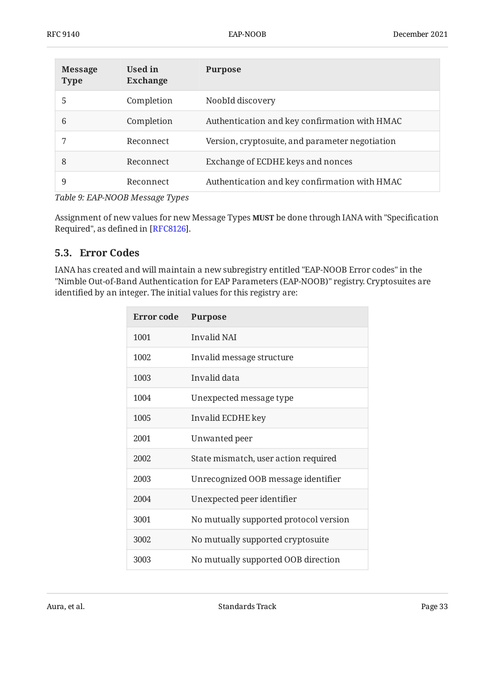| <b>Message</b><br><b>Type</b> | Used in<br><b>Exchange</b> | <b>Purpose</b>                                  |
|-------------------------------|----------------------------|-------------------------------------------------|
| 5                             | Completion                 | NoobId discovery                                |
| 6                             | Completion                 | Authentication and key confirmation with HMAC   |
|                               | Reconnect                  | Version, cryptosuite, and parameter negotiation |
| 8                             | Reconnect                  | Exchange of ECDHE keys and nonces               |
| 9                             | Reconnect                  | Authentication and key confirmation with HMAC   |

*[Table 9: EAP-NOOB Message Types](#page-31-1)* 

Assignment of new values for new Message Types **MUST** be done through IANA with "Specification Required", as defined in [RFC8126].

### <span id="page-32-0"></span>**[5.3. Error Codes](#page-32-0)**

<span id="page-32-2"></span>IANA has created and will maintain a new subregistry entitled "EAP-NOOB Error codes" in the "Nimble Out-of-Band Authentication for EAP Parameters (EAP-NOOB)" registry. Cryptosuites are identified by an integer. The initial values for this registry are:

<span id="page-32-1"></span>

| Error code | <b>Purpose</b>                         |
|------------|----------------------------------------|
| 1001       | <b>Invalid NAI</b>                     |
| 1002       | Invalid message structure              |
| 1003       | Invalid data                           |
| 1004       | Unexpected message type                |
| 1005       | Invalid ECDHE key                      |
| 2001       | Unwanted peer                          |
| 2002       | State mismatch, user action required   |
| 2003       | Unrecognized OOB message identifier    |
| 2004       | Unexpected peer identifier             |
| 3001       | No mutually supported protocol version |
| 3002       | No mutually supported cryptosuite      |
| 3003       | No mutually supported OOB direction    |

Aura, et al. Standards Track Standards Track Page 33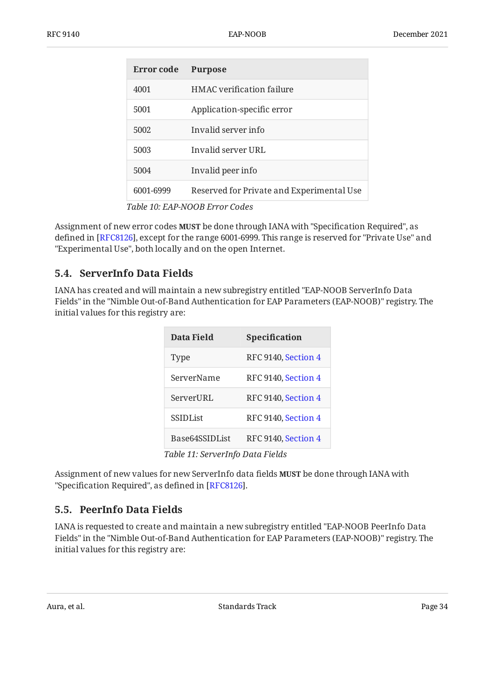| Error code | <b>Purpose</b>                            |
|------------|-------------------------------------------|
| 4001       | HMAC verification failure                 |
| 5001       | Application-specific error                |
| 5002       | Invalid server info                       |
| 5003       | Invalid server URL                        |
| 5004       | Invalid peer info                         |
| 6001-6999  | Reserved for Private and Experimental Use |

*[Table 10](#page-32-1): [EAP-NOOB Error Codes](#page-32-2)* 

Assignment of new error codes **MUST** be done through IANA with "Specification Required", as defined in [RFC8126], except for the range 6001-6999. This range is reserved for "Private Use" and "Experimental Use", both locally and on the open Internet.

#### <span id="page-33-0"></span>**[5.4. ServerInfo Data Fields](#page-33-0)**

<span id="page-33-3"></span>IANA has created and will maintain a new subregistry entitled "EAP-NOOB ServerInfo Data Fields" in the "Nimble Out-of-Band Authentication for EAP Parameters (EAP-NOOB)" registry. The initial values for this registry are:

<span id="page-33-2"></span>

| <b>Data Field</b> | <b>Specification</b> |
|-------------------|----------------------|
| Type              | RFC 9140, Section 4  |
| ServerName        | RFC 9140, Section 4  |
| ServerURL         | RFC 9140, Section 4  |
| <b>SSIDList</b>   | RFC 9140, Section 4  |
| Base64SSIDList    | RFC 9140, Section 4  |
|                   | $\blacksquare$       |

*[Table 11](#page-33-2): [ServerInfo Data Fields](#page-33-3)* 

Assignment of new values for new ServerInfo data fields **MUST** be done through IANA with "Specification Required", as defined in  $[RFC8126]$ .

### <span id="page-33-1"></span>**[5.5. PeerInfo Data Fields](#page-33-1)**

IANA is requested to create and maintain a new subregistry entitled "EAP-NOOB PeerInfo Data Fields" in the "Nimble Out-of-Band Authentication for EAP Parameters (EAP-NOOB)" registry. The initial values for this registry are:

<span id="page-33-4"></span>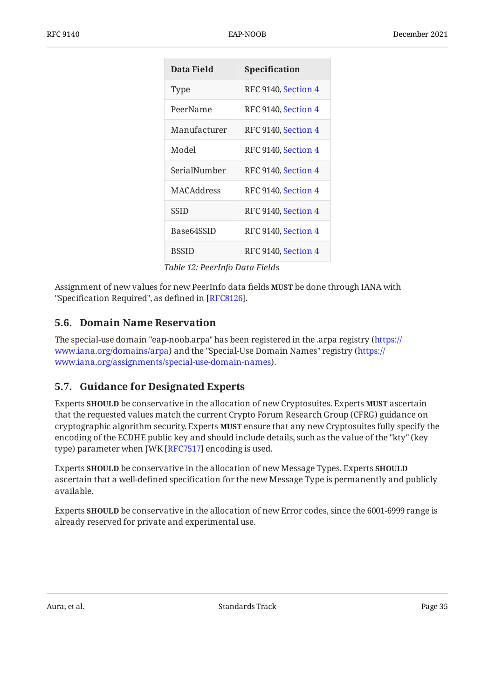<span id="page-34-2"></span>

| <b>Data Field</b> | Specification       |
|-------------------|---------------------|
| Type              | RFC 9140, Section 4 |
| PeerName          | RFC 9140, Section 4 |
| Manufacturer      | RFC 9140, Section 4 |
| Model             | RFC 9140, Section 4 |
| SerialNumber      | RFC 9140, Section 4 |
| <b>MACAddress</b> | RFC 9140, Section 4 |
| <b>SSID</b>       | RFC 9140, Section 4 |
| Base64SSID        | RFC 9140, Section 4 |
| <b>BSSID</b>      | RFC 9140, Section 4 |

*[Table 12](#page-34-2): [PeerInfo Data Fields](#page-33-4)* 

Assignment of new values for new PeerInfo data fields **MUST** be done through IANA with "Specification Required", as defined in [RFC8126].

### <span id="page-34-0"></span>**[5.6. Domain Name Reservation](#page-34-0)**

The special-use domain "eap-noob.arpa" has been registered in the .arpa registry ( [https://](https://www.iana.org/domains/arpa) [www.iana.org/domains/arpa](https://www.iana.org/domains/arpa)) and the "Special-Use Domain Names" registry ([https://](https://www.iana.org/assignments/special-use-domain-names) ). [www.iana.org/assignments/special-use-domain-names](https://www.iana.org/assignments/special-use-domain-names)

### <span id="page-34-1"></span>**[5.7. Guidance for Designated Experts](#page-34-1)**

Experts **SHOULD** be conservative in the allocation of new Cryptosuites. Experts MUST ascertain that the requested values match the current Crypto Forum Research Group (CFRG) guidance on cryptographic algorithm security. Experts **MUST** ensure that any new Cryptosuites fully specify the encoding of the ECDHE public key and should include details, such as the value of the "kty" (key type) parameter when JWK [RFC7517] encoding is used.

Experts be conservative in the allocation of new Message Types. Experts **SHOULD SHOULD** ascertain that a well-defined specification for the new Message Type is permanently and publicly available.

Experts **SHOULD** be conservative in the allocation of new Error codes, since the 6001-6999 range is already reserved for private and experimental use.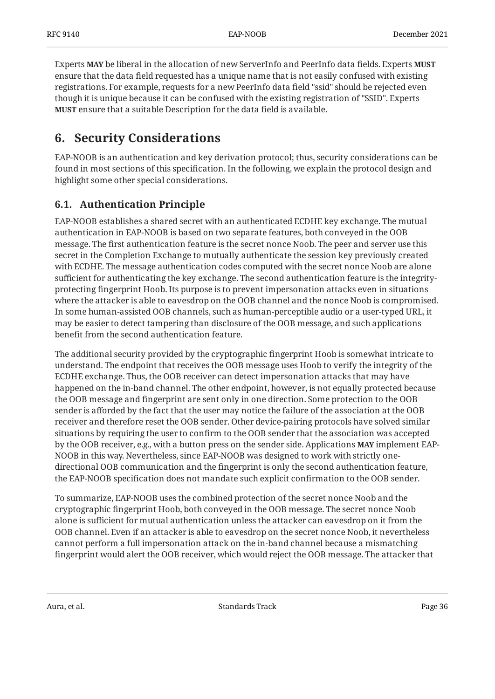Experts be liberal in the allocation of new ServerInfo and PeerInfo data fields. Experts **MAY MUST** ensure that the data field requested has a unique name that is not easily confused with existing registrations. For example, requests for a new PeerInfo data field "ssid" should be rejected even though it is unique because it can be confused with the existing registration of "SSID". Experts **MUST** ensure that a suitable Description for the data field is available.

## <span id="page-35-0"></span>**[6. Security Considerations](#page-35-0)**

EAP-NOOB is an authentication and key derivation protocol; thus, security considerations can be found in most sections of this specification. In the following, we explain the protocol design and highlight some other special considerations.

## <span id="page-35-1"></span>**[6.1. Authentication Principle](#page-35-1)**

EAP-NOOB establishes a shared secret with an authenticated ECDHE key exchange. The mutual authentication in EAP-NOOB is based on two separate features, both conveyed in the OOB message. The first authentication feature is the secret nonce Noob. The peer and server use this secret in the Completion Exchange to mutually authenticate the session key previously created with ECDHE. The message authentication codes computed with the secret nonce Noob are alone sufficient for authenticating the key exchange. The second authentication feature is the integrityprotecting fingerprint Hoob. Its purpose is to prevent impersonation attacks even in situations where the attacker is able to eavesdrop on the OOB channel and the nonce Noob is compromised. In some human-assisted OOB channels, such as human-perceptible audio or a user-typed URL, it may be easier to detect tampering than disclosure of the OOB message, and such applications benefit from the second authentication feature.

The additional security provided by the cryptographic fingerprint Hoob is somewhat intricate to understand. The endpoint that receives the OOB message uses Hoob to verify the integrity of the ECDHE exchange. Thus, the OOB receiver can detect impersonation attacks that may have happened on the in-band channel. The other endpoint, however, is not equally protected because the OOB message and fingerprint are sent only in one direction. Some protection to the OOB sender is afforded by the fact that the user may notice the failure of the association at the OOB receiver and therefore reset the OOB sender. Other device-pairing protocols have solved similar situations by requiring the user to confirm to the OOB sender that the association was accepted by the OOB receiver, e.g., with a button press on the sender side. Applications **MAY** implement EAP-NOOB in this way. Nevertheless, since EAP-NOOB was designed to work with strictly onedirectional OOB communication and the fingerprint is only the second authentication feature, the EAP-NOOB specification does not mandate such explicit confirmation to the OOB sender.

To summarize, EAP-NOOB uses the combined protection of the secret nonce Noob and the cryptographic fingerprint Hoob, both conveyed in the OOB message. The secret nonce Noob alone is sufficient for mutual authentication unless the attacker can eavesdrop on it from the OOB channel. Even if an attacker is able to eavesdrop on the secret nonce Noob, it nevertheless cannot perform a full impersonation attack on the in-band channel because a mismatching fingerprint would alert the OOB receiver, which would reject the OOB message. The attacker that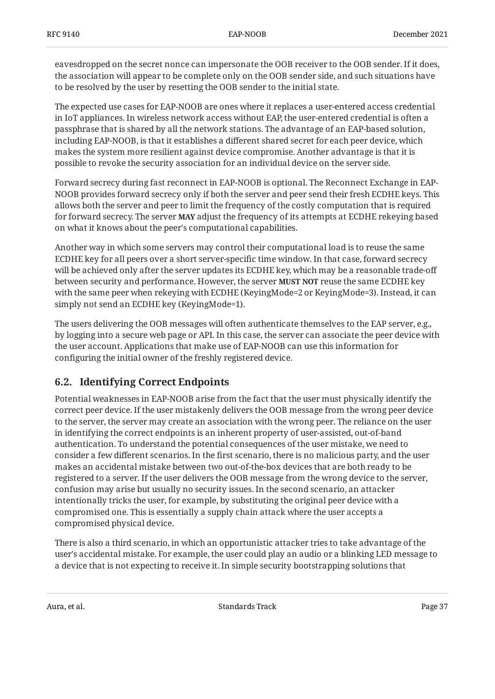eavesdropped on the secret nonce can impersonate the OOB receiver to the OOB sender. If it does, the association will appear to be complete only on the OOB sender side, and such situations have to be resolved by the user by resetting the OOB sender to the initial state.

The expected use cases for EAP-NOOB are ones where it replaces a user-entered access credential in IoT appliances. In wireless network access without EAP, the user-entered credential is often a passphrase that is shared by all the network stations. The advantage of an EAP-based solution, including EAP-NOOB, is that it establishes a different shared secret for each peer device, which makes the system more resilient against device compromise. Another advantage is that it is possible to revoke the security association for an individual device on the server side.

Forward secrecy during fast reconnect in EAP-NOOB is optional. The Reconnect Exchange in EAP-NOOB provides forward secrecy only if both the server and peer send their fresh ECDHE keys. This allows both the server and peer to limit the frequency of the costly computation that is required for forward secrecy. The server **MAY** adjust the frequency of its attempts at ECDHE rekeying based on what it knows about the peer's computational capabilities.

Another way in which some servers may control their computational load is to reuse the same ECDHE key for all peers over a short server-specific time window. In that case, forward secrecy will be achieved only after the server updates its ECDHE key, which may be a reasonable trade-off between security and performance. However, the server **MUST NOT** reuse the same ECDHE key with the same peer when rekeying with ECDHE (KeyingMode=2 or KeyingMode=3). Instead, it can simply not send an ECDHE key (KeyingMode=1).

The users delivering the OOB messages will often authenticate themselves to the EAP server, e.g., by logging into a secure web page or API. In this case, the server can associate the peer device with the user account. Applications that make use of EAP-NOOB can use this information for configuring the initial owner of the freshly registered device.

## <span id="page-36-0"></span>**[6.2. Identifying Correct Endpoints](#page-36-0)**

Potential weaknesses in EAP-NOOB arise from the fact that the user must physically identify the correct peer device. If the user mistakenly delivers the OOB message from the wrong peer device to the server, the server may create an association with the wrong peer. The reliance on the user in identifying the correct endpoints is an inherent property of user-assisted, out-of-band authentication. To understand the potential consequences of the user mistake, we need to consider a few different scenarios. In the first scenario, there is no malicious party, and the user makes an accidental mistake between two out-of-the-box devices that are both ready to be registered to a server. If the user delivers the OOB message from the wrong device to the server, confusion may arise but usually no security issues. In the second scenario, an attacker intentionally tricks the user, for example, by substituting the original peer device with a compromised one. This is essentially a supply chain attack where the user accepts a compromised physical device.

There is also a third scenario, in which an opportunistic attacker tries to take advantage of the user's accidental mistake. For example, the user could play an audio or a blinking LED message to a device that is not expecting to receive it. In simple security bootstrapping solutions that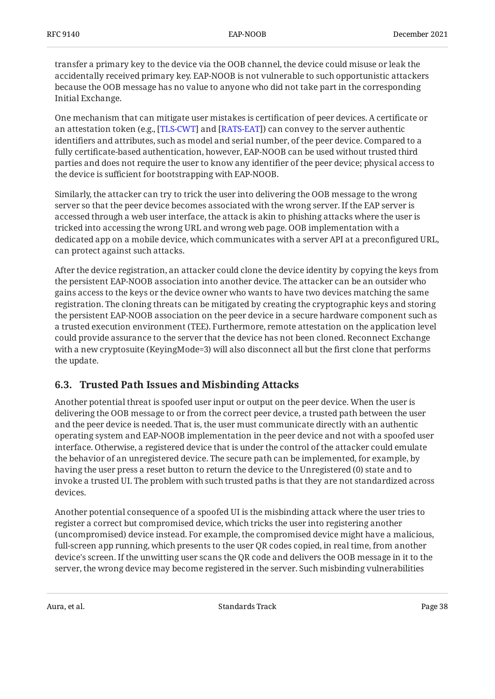transfer a primary key to the device via the OOB channel, the device could misuse or leak the accidentally received primary key. EAP-NOOB is not vulnerable to such opportunistic attackers because the OOB message has no value to anyone who did not take part in the corresponding Initial Exchange.

One mechanism that can mitigate user mistakes is certification of peer devices. A certificate or an attestation token (e.g., [[TLS-CWT\]](#page-46-4) and [\[RATS-EAT](#page-45-10)]) can convey to the server authentic identifiers and attributes, such as model and serial number, of the peer device. Compared to a fully certificate-based authentication, however, EAP-NOOB can be used without trusted third parties and does not require the user to know any identifier of the peer device; physical access to the device is sufficient for bootstrapping with EAP-NOOB.

Similarly, the attacker can try to trick the user into delivering the OOB message to the wrong server so that the peer device becomes associated with the wrong server. If the EAP server is accessed through a web user interface, the attack is akin to phishing attacks where the user is tricked into accessing the wrong URL and wrong web page. OOB implementation with a dedicated app on a mobile device, which communicates with a server API at a preconfigured URL, can protect against such attacks.

After the device registration, an attacker could clone the device identity by copying the keys from the persistent EAP-NOOB association into another device. The attacker can be an outsider who gains access to the keys or the device owner who wants to have two devices matching the same registration. The cloning threats can be mitigated by creating the cryptographic keys and storing the persistent EAP-NOOB association on the peer device in a secure hardware component such as a trusted execution environment (TEE). Furthermore, remote attestation on the application level could provide assurance to the server that the device has not been cloned. Reconnect Exchange with a new cryptosuite (KeyingMode=3) will also disconnect all but the first clone that performs the update.

### <span id="page-37-0"></span>**[6.3. Trusted Path Issues and Misbinding Attacks](#page-37-0)**

Another potential threat is spoofed user input or output on the peer device. When the user is delivering the OOB message to or from the correct peer device, a trusted path between the user and the peer device is needed. That is, the user must communicate directly with an authentic operating system and EAP-NOOB implementation in the peer device and not with a spoofed user interface. Otherwise, a registered device that is under the control of the attacker could emulate the behavior of an unregistered device. The secure path can be implemented, for example, by having the user press a reset button to return the device to the Unregistered (0) state and to invoke a trusted UI. The problem with such trusted paths is that they are not standardized across devices.

Another potential consequence of a spoofed UI is the misbinding attack where the user tries to register a correct but compromised device, which tricks the user into registering another (uncompromised) device instead. For example, the compromised device might have a malicious, full-screen app running, which presents to the user QR codes copied, in real time, from another device's screen. If the unwitting user scans the QR code and delivers the OOB message in it to the server, the wrong device may become registered in the server. Such misbinding vulnerabilities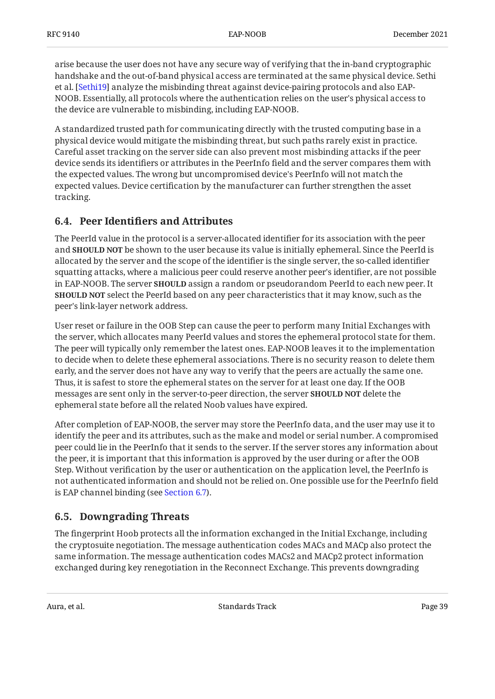arise because the user does not have any secure way of verifying that the in-band cryptographic handshake and the out-of-band physical access are terminated at the same physical device. Sethi et al. [Sethi19] analyze the misbinding threat against device-pairing protocols and also EAP-NOOB. Essentially, all protocols where the authentication relies on the user's physical access to the device are vulnerable to misbinding, including EAP-NOOB.

A standardized trusted path for communicating directly with the trusted computing base in a physical device would mitigate the misbinding threat, but such paths rarely exist in practice. Careful asset tracking on the server side can also prevent most misbinding attacks if the peer device sends its identifiers or attributes in the PeerInfo field and the server compares them with the expected values. The wrong but uncompromised device's PeerInfo will not match the expected values. Device certification by the manufacturer can further strengthen the asset tracking.

### <span id="page-38-0"></span>**[6.4. P](#page-38-0)eer Identifi[ers and Attributes](#page-38-0)**

The PeerId value in the protocol is a server-allocated identifier for its association with the peer and **SHOULD NOT** be shown to the user because its value is initially ephemeral. Since the PeerId is allocated by the server and the scope of the identifier is the single server, the so-called identifier squatting attacks, where a malicious peer could reserve another peer's identifier, are not possible in EAP-NOOB. The server **SHOULD** assign a random or pseudorandom PeerId to each new peer. It **SHOULD NOT** select the PeerId based on any peer characteristics that it may know, such as the peer's link-layer network address.

User reset or failure in the OOB Step can cause the peer to perform many Initial Exchanges with the server, which allocates many PeerId values and stores the ephemeral protocol state for them. The peer will typically only remember the latest ones. EAP-NOOB leaves it to the implementation to decide when to delete these ephemeral associations. There is no security reason to delete them early, and the server does not have any way to verify that the peers are actually the same one. Thus, it is safest to store the ephemeral states on the server for at least one day. If the OOB messages are sent only in the server-to-peer direction, the server **SHOULD NOT** delete the ephemeral state before all the related Noob values have expired.

After completion of EAP-NOOB, the server may store the PeerInfo data, and the user may use it to identify the peer and its attributes, such as the make and model or serial number. A compromised peer could lie in the PeerInfo that it sends to the server. If the server stores any information about the peer, it is important that this information is approved by the user during or after the OOB Step. Without verification by the user or authentication on the application level, the PeerInfo is not authenticated information and should not be relied on. One possible use for the PeerInfo field is EAP channel binding (see [Section 6.7](#page-40-0)).

### <span id="page-38-1"></span>**[6.5. Downgrading Threats](#page-38-1)**

The fingerprint Hoob protects all the information exchanged in the Initial Exchange, including the cryptosuite negotiation. The message authentication codes MACs and MACp also protect the same information. The message authentication codes MACs2 and MACp2 protect information exchanged during key renegotiation in the Reconnect Exchange. This prevents downgrading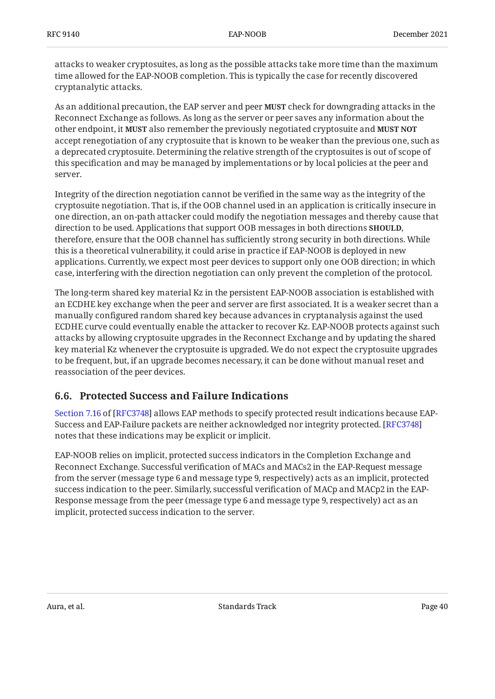attacks to weaker cryptosuites, as long as the possible attacks take more time than the maximum time allowed for the EAP-NOOB completion. This is typically the case for recently discovered cryptanalytic attacks.

As an additional precaution, the EAP server and peer **MUST** check for downgrading attacks in the Reconnect Exchange as follows. As long as the server or peer saves any information about the other endpoint, it MUST also remember the previously negotiated cryptosuite and MUST NOT accept renegotiation of any cryptosuite that is known to be weaker than the previous one, such as a deprecated cryptosuite. Determining the relative strength of the cryptosuites is out of scope of this specification and may be managed by implementations or by local policies at the peer and server.

Integrity of the direction negotiation cannot be verified in the same way as the integrity of the cryptosuite negotiation. That is, if the OOB channel used in an application is critically insecure in one direction, an on-path attacker could modify the negotiation messages and thereby cause that direction to be used. Applications that support OOB messages in both directions **SHOULD**, therefore, ensure that the OOB channel has sufficiently strong security in both directions. While this is a theoretical vulnerability, it could arise in practice if EAP-NOOB is deployed in new applications. Currently, we expect most peer devices to support only one OOB direction; in which case, interfering with the direction negotiation can only prevent the completion of the protocol.

The long-term shared key material Kz in the persistent EAP-NOOB association is established with an ECDHE key exchange when the peer and server are first associated. It is a weaker secret than a manually configured random shared key because advances in cryptanalysis against the used ECDHE curve could eventually enable the attacker to recover Kz. EAP-NOOB protects against such attacks by allowing cryptosuite upgrades in the Reconnect Exchange and by updating the shared key material Kz whenever the cryptosuite is upgraded. We do not expect the cryptosuite upgrades to be frequent, but, if an upgrade becomes necessary, it can be done without manual reset and reassociation of the peer devices.

### <span id="page-39-0"></span>**[6.6. Protected Success and Failure Indications](#page-39-0)**

[Section 7.16](https://www.rfc-editor.org/rfc/rfc3748#section-7.16) of [\[RFC3748](#page-44-6)] allows EAP methods to specify protected result indications because EAP-Success and EAP-Failure packets are neither acknowledged nor integrity protected. [\[RFC3748\]](#page-44-6) notes that these indications may be explicit or implicit.

EAP-NOOB relies on implicit, protected success indicators in the Completion Exchange and Reconnect Exchange. Successful verification of MACs and MACs2 in the EAP-Request message from the server (message type 6 and message type 9, respectively) acts as an implicit, protected success indication to the peer. Similarly, successful verification of MACp and MACp2 in the EAP-Response message from the peer (message type 6 and message type 9, respectively) act as an implicit, protected success indication to the server.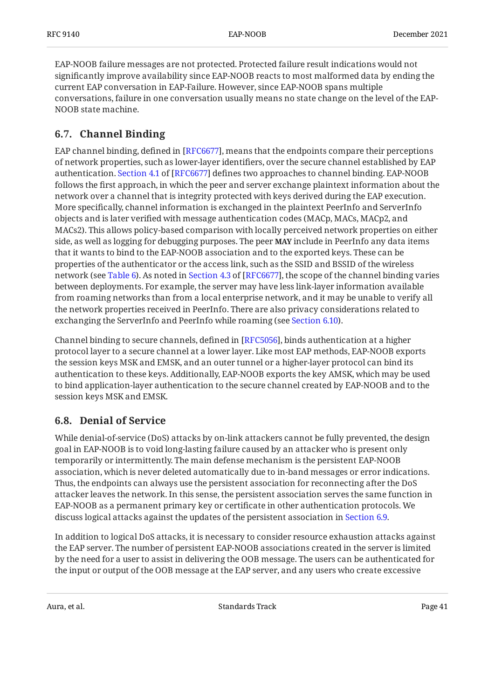EAP-NOOB failure messages are not protected. Protected failure result indications would not significantly improve availability since EAP-NOOB reacts to most malformed data by ending the current EAP conversation in EAP-Failure. However, since EAP-NOOB spans multiple conversations, failure in one conversation usually means no state change on the level of the EAP-NOOB state machine.

### <span id="page-40-0"></span>**[6.7. Channel Binding](#page-40-0)**

EAP channel binding, defined in [RFC6677], means that the endpoints compare their perceptions of network properties, such as lower-layer identifiers, over the secure channel established by EAP authentication.Section 4.1 of [RFC6677] defines two approaches to channel binding. EAP-NOOB follows the first approach, in which the peer and server exchange plaintext information about the network over a channel that is integrity protected with keys derived during the EAP execution. More specifically, channel information is exchanged in the plaintext PeerInfo and ServerInfo objects and is later verified with message authentication codes (MACp, MACs, MACp2, and MACs2). This allows policy-based comparison with locally perceived network properties on either side, as well as logging for debugging purposes. The peer **MAY** include in PeerInfo any data items that it wants to bind to the EAP-NOOB association and to the exported keys. These can be properties of the authenticator or the access link, such as the SSID and BSSID of the wireless network (see [Table 6\)](#page-29-1).As noted in Section 4.3 of [RFC6677], the scope of the channel binding varies between deployments. For example, the server may have less link-layer information available from roaming networks than from a local enterprise network, and it may be unable to verify all the network properties received in PeerInfo. There are also privacy considerations related to exchanging the ServerInfo and PeerInfo while roaming (see [Section 6.10\)](#page-42-0).

Channel binding to secure channels, defined in [RFC5056], binds authentication at a higher protocol layer to a secure channel at a lower layer. Like most EAP methods, EAP-NOOB exports the session keys MSK and EMSK, and an outer tunnel or a higher-layer protocol can bind its authentication to these keys. Additionally, EAP-NOOB exports the key AMSK, which may be used to bind application-layer authentication to the secure channel created by EAP-NOOB and to the session keys MSK and EMSK.

### <span id="page-40-1"></span>**[6.8. Denial of Service](#page-40-1)**

While denial-of-service (DoS) attacks by on-link attackers cannot be fully prevented, the design goal in EAP-NOOB is to void long-lasting failure caused by an attacker who is present only temporarily or intermittently. The main defense mechanism is the persistent EAP-NOOB association, which is never deleted automatically due to in-band messages or error indications. Thus, the endpoints can always use the persistent association for reconnecting after the DoS attacker leaves the network. In this sense, the persistent association serves the same function in EAP-NOOB as a permanent primary key or certificate in other authentication protocols. We discuss logical attacks against the updates of the persistent association in [Section 6.9](#page-41-0).

In addition to logical DoS attacks, it is necessary to consider resource exhaustion attacks against the EAP server. The number of persistent EAP-NOOB associations created in the server is limited by the need for a user to assist in delivering the OOB message. The users can be authenticated for the input or output of the OOB message at the EAP server, and any users who create excessive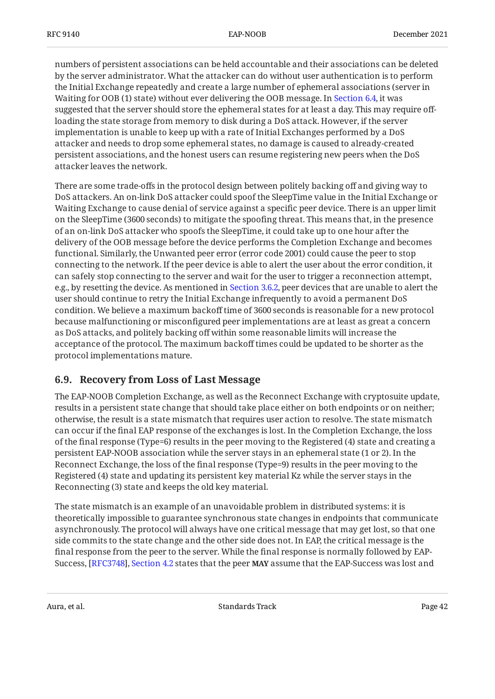numbers of persistent associations can be held accountable and their associations can be deleted by the server administrator. What the attacker can do without user authentication is to perform the Initial Exchange repeatedly and create a large number of ephemeral associations (server in Waiting for OOB (1) state) without ever delivering the OOB message. In [Section 6.4](#page-38-0), it was suggested that the server should store the ephemeral states for at least a day. This may require offloading the state storage from memory to disk during a DoS attack. However, if the server implementation is unable to keep up with a rate of Initial Exchanges performed by a DoS attacker and needs to drop some ephemeral states, no damage is caused to already-created persistent associations, and the honest users can resume registering new peers when the DoS attacker leaves the network.

There are some trade-offs in the protocol design between politely backing off and giving way to DoS attackers. An on-link DoS attacker could spoof the SleepTime value in the Initial Exchange or Waiting Exchange to cause denial of service against a specific peer device. There is an upper limit on the SleepTime (3600 seconds) to mitigate the spoofing threat. This means that, in the presence of an on-link DoS attacker who spoofs the SleepTime, it could take up to one hour after the delivery of the OOB message before the device performs the Completion Exchange and becomes functional. Similarly, the Unwanted peer error (error code 2001) could cause the peer to stop connecting to the network. If the peer device is able to alert the user about the error condition, it can safely stop connecting to the server and wait for the user to trigger a reconnection attempt, e.g., by resetting the device. As mentioned in [Section 3.6.2,](#page-27-1) peer devices that are unable to alert the user should continue to retry the Initial Exchange infrequently to avoid a permanent DoS condition. We believe a maximum backoff time of 3600 seconds is reasonable for a new protocol because malfunctioning or misconfigured peer implementations are at least as great a concern as DoS attacks, and politely backing off within some reasonable limits will increase the acceptance of the protocol. The maximum backoff times could be updated to be shorter as the protocol implementations mature.

### <span id="page-41-0"></span>**[6.9. Recovery from Loss of Last Message](#page-41-0)**

The EAP-NOOB Completion Exchange, as well as the Reconnect Exchange with cryptosuite update, results in a persistent state change that should take place either on both endpoints or on neither; otherwise, the result is a state mismatch that requires user action to resolve. The state mismatch can occur if the final EAP response of the exchanges is lost. In the Completion Exchange, the loss of the final response (Type=6) results in the peer moving to the Registered (4) state and creating a persistent EAP-NOOB association while the server stays in an ephemeral state (1 or 2). In the Reconnect Exchange, the loss of the final response (Type=9) results in the peer moving to the Registered (4) state and updating its persistent key material Kz while the server stays in the Reconnecting (3) state and keeps the old key material.

The state mismatch is an example of an unavoidable problem in distributed systems: it is theoretically impossible to guarantee synchronous state changes in endpoints that communicate asynchronously. The protocol will always have one critical message that may get lost, so that one side commits to the state change and the other side does not. In EAP, the critical message is the final response from the peer to the server. While the final response is normally followed by EAP-Success, [\[RFC3748\]](#page-44-6), [Section 4.2](https://www.rfc-editor.org/rfc/rfc3748#section-4.2) states that the peer MAY assume that the EAP-Success was lost and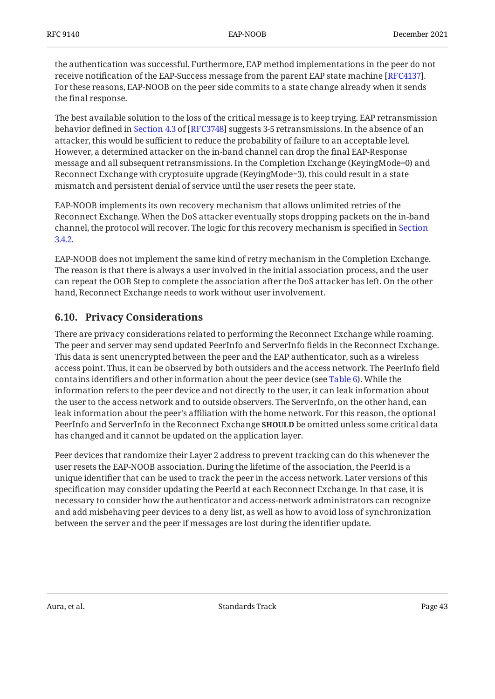the authentication was successful. Furthermore, EAP method implementations in the peer do not receive notification of the EAP-Success message from the parent EAP state machine [RFC4137]. For these reasons, EAP-NOOB on the peer side commits to a state change already when it sends the final response.

The best available solution to the loss of the critical message is to keep trying. EAP retransmission behaviordefined in Section 4.3 of [RFC3748] suggests 3-5 retransmissions. In the absence of an attacker, this would be sufficient to reduce the probability of failure to an acceptable level. However, a determined attacker on the in-band channel can drop the final EAP-Response message and all subsequent retransmissions. In the Completion Exchange (KeyingMode=0) and Reconnect Exchange with cryptosuite upgrade (KeyingMode=3), this could result in a state mismatch and persistent denial of service until the user resets the peer state.

EAP-NOOB implements its own recovery mechanism that allows unlimited retries of the Reconnect Exchange. When the DoS attacker eventually stops dropping packets on the in-band channel, the protocol will recover. The logic for this recovery mechanism is specified in [Section](#page-19-1) [3.4.2](#page-19-1).

EAP-NOOB does not implement the same kind of retry mechanism in the Completion Exchange. The reason is that there is always a user involved in the initial association process, and the user can repeat the OOB Step to complete the association after the DoS attacker has left. On the other hand, Reconnect Exchange needs to work without user involvement.

### <span id="page-42-0"></span>**[6.10. Privacy Considerations](#page-42-0)**

There are privacy considerations related to performing the Reconnect Exchange while roaming. The peer and server may send updated PeerInfo and ServerInfo fields in the Reconnect Exchange. This data is sent unencrypted between the peer and the EAP authenticator, such as a wireless access point. Thus, it can be observed by both outsiders and the access network. The PeerInfo field contains identifiers and other information about the peer device (see [Table 6\)](#page-29-1). While the information refers to the peer device and not directly to the user, it can leak information about the user to the access network and to outside observers. The ServerInfo, on the other hand, can leak information about the peer's affiliation with the home network. For this reason, the optional PeerInfo and ServerInfo in the Reconnect Exchange **SHOULD** be omitted unless some critical data has changed and it cannot be updated on the application layer.

Peer devices that randomize their Layer 2 address to prevent tracking can do this whenever the user resets the EAP-NOOB association. During the lifetime of the association, the PeerId is a unique identifier that can be used to track the peer in the access network. Later versions of this specification may consider updating the PeerId at each Reconnect Exchange. In that case, it is necessary to consider how the authenticator and access-network administrators can recognize and add misbehaving peer devices to a deny list, as well as how to avoid loss of synchronization between the server and the peer if messages are lost during the identifier update.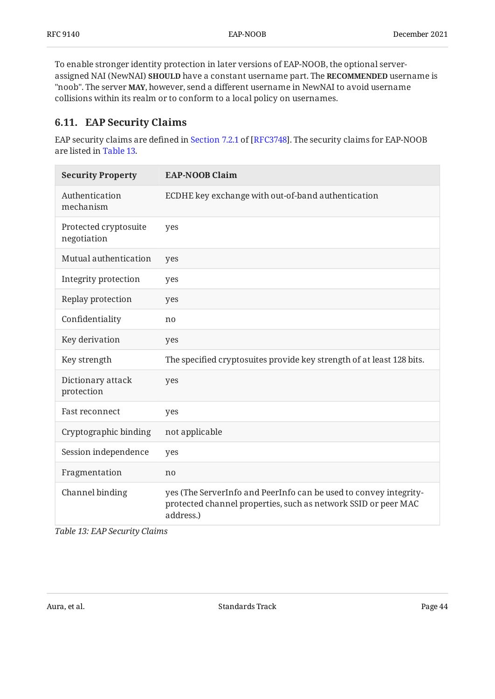To enable stronger identity protection in later versions of EAP-NOOB, the optional serverassigned NAI (NewNAI) **SHOULD** have a constant username part. The **RECOMMENDED** username is "noob". The server **MAY**, however, send a different username in NewNAI to avoid username collisions within its realm or to conform to a local policy on usernames.

### <span id="page-43-0"></span>**[6.11. EAP Security Claims](#page-43-0)**

EAPsecurity claims are defined in Section 7.2.1 of [RFC3748]. The security claims for EAP-NOOB are listed in [Table 13.](#page-43-1)

<span id="page-43-1"></span>

| <b>Security Property</b>             | <b>EAP-NOOB Claim</b>                                                                                                                            |
|--------------------------------------|--------------------------------------------------------------------------------------------------------------------------------------------------|
| Authentication<br>mechanism          | ECDHE key exchange with out-of-band authentication                                                                                               |
| Protected cryptosuite<br>negotiation | yes                                                                                                                                              |
| Mutual authentication                | yes                                                                                                                                              |
| Integrity protection                 | yes                                                                                                                                              |
| Replay protection                    | yes                                                                                                                                              |
| Confidentiality                      | no                                                                                                                                               |
| Key derivation                       | yes                                                                                                                                              |
| Key strength                         | The specified cryptosuites provide key strength of at least 128 bits.                                                                            |
| Dictionary attack<br>protection      | yes                                                                                                                                              |
| Fast reconnect                       | yes                                                                                                                                              |
| Cryptographic binding                | not applicable                                                                                                                                   |
| Session independence                 | yes                                                                                                                                              |
| Fragmentation                        | no                                                                                                                                               |
| Channel binding                      | yes (The ServerInfo and PeerInfo can be used to convey integrity-<br>protected channel properties, such as network SSID or peer MAC<br>address.) |

*[Table 13](#page-43-1): [EAP Security Claims](#page-43-1)*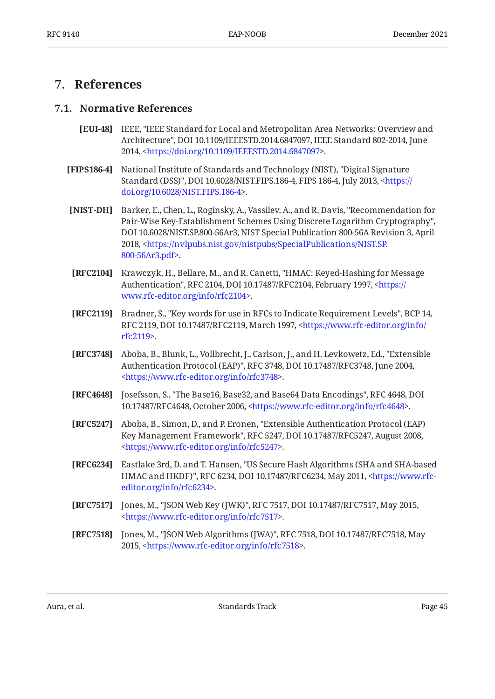## <span id="page-44-1"></span><span id="page-44-0"></span>**[7. References](#page-44-0)**

#### <span id="page-44-9"></span>**[7.1. Normative References](#page-44-1)**

- **[EUI-48]** IEEE, "IEEE Standard for Local and Metropolitan Area Networks: Overview and Architecture", DOI 10.1109/IEEESTD.2014.6847097, IEEE Standard 802-2014, June 2014, <[https://doi.org/10.1109/IEEESTD.2014.6847097>](https://doi.org/10.1109/IEEESTD.2014.6847097).
- <span id="page-44-11"></span>**[FIPS186-4]** , National Institute of Standards and Technology (NIST) "Digital Signature Standard (DSS)", DOI 10.6028/NIST.FIPS.186-4, FIPS 186-4, July 2013, [<https://](https://doi.org/10.6028/NIST.FIPS.186-4) . [doi.org/10.6028/NIST.FIPS.186-4>](https://doi.org/10.6028/NIST.FIPS.186-4)
- <span id="page-44-7"></span>**[NIST-DH]** Barker, E., Chen, L., Roginsky, A., Vassilev, A., and R. Davis, "Recommendation for , Pair-Wise Key-Establishment Schemes Using Discrete Logarithm Cryptography" DOI 10.6028/NIST.SP.800-56Ar3, NIST Special Publication 800-56A Revision 3, April 2018, <[https://nvlpubs.nist.gov/nistpubs/SpecialPublications/NIST.SP.](https://nvlpubs.nist.gov/nistpubs/SpecialPublications/NIST.SP.800-56Ar3.pdf) . [800-56Ar3.pdf>](https://nvlpubs.nist.gov/nistpubs/SpecialPublications/NIST.SP.800-56Ar3.pdf)
- <span id="page-44-5"></span>**[RFC2104]** Krawczyk, H., Bellare, M., and R. Canetti, "HMAC: Keyed-Hashing for Message Authentication", RFC 2104, DOI 10.17487/RFC2104, February 1997, <[https://](https://www.rfc-editor.org/info/rfc2104) . [www.rfc-editor.org/info/rfc2104>](https://www.rfc-editor.org/info/rfc2104)
- <span id="page-44-2"></span>**[RFC2119]** Bradner, S., "Key words for use in RFCs to Indicate Requirement Levels", BCP 14, RFC 2119, DOI 10.17487/RFC2119, March 1997, [<https://www.rfc-editor.org/info/](https://www.rfc-editor.org/info/rfc2119) . [rfc2119](https://www.rfc-editor.org/info/rfc2119)>
- <span id="page-44-6"></span>**[RFC3748]** Aboba, B., Blunk, L., Vollbrecht, J., Carlson, J., and H. Levkowetz, Ed., "Extensible Authentication Protocol (EAP)", RFC 3748, DOI 10.17487/RFC3748, June 2004, . [<https://www.rfc-editor.org/info/rfc3748](https://www.rfc-editor.org/info/rfc3748)>
- <span id="page-44-3"></span>**[RFC4648]** Josefsson, S., "The Base16, Base32, and Base64 Data Encodings", RFC 4648, DOI 10.17487/RFC4648, October 2006, <https://www.rfc-editor.org/info/rfc4648>.
- <span id="page-44-8"></span>**[RFC5247]** Aboba, B., Simon, D., and P. Eronen, "Extensible Authentication Protocol (EAP) Key Management Framework", RFC 5247, DOI 10.17487/RFC5247, August 2008, . [<https://www.rfc-editor.org/info/rfc5247](https://www.rfc-editor.org/info/rfc5247)>
- <span id="page-44-10"></span>**[RFC6234]** Eastlake 3rd, D. and T. Hansen, "US Secure Hash Algorithms (SHA and SHA-based HMAC and HKDF)", RFC 6234, DOI 10.17487/RFC6234, May 2011, [<https://www.rfc-](https://www.rfc-editor.org/info/rfc6234). [editor.org/info/rfc6234](https://www.rfc-editor.org/info/rfc6234)>
- <span id="page-44-4"></span>**[RFC7517]** Jones, M., "JSON Web Key (JWK)", RFC 7517, DOI 10.17487/RFC7517, May 2015, . [<https://www.rfc-editor.org/info/rfc7517](https://www.rfc-editor.org/info/rfc7517)>
- <span id="page-44-12"></span>**[RFC7518]** Jones, M., "JSON Web Algorithms (JWA)", RFC 7518, DOI 10.17487/RFC7518, May 2015, <[https://www.rfc-editor.org/info/rfc7518>](https://www.rfc-editor.org/info/rfc7518).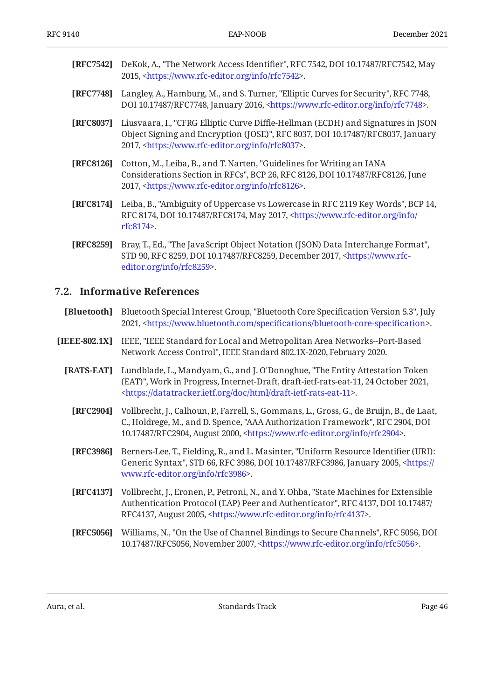<span id="page-45-4"></span>

| [RFC7542] DeKok, A., "The Network Access Identifier", RFC 7542, DOI 10.17487/RFC7542, May |
|-------------------------------------------------------------------------------------------|
| 2015, <https: info="" rfc7542="" www.rfc-editor.org="">.</https:>                         |

- <span id="page-45-8"></span>**[RFC7748]** Langley, A., Hamburg, M., and S. Turner, "Elliptic Curves for Security", RFC 7748, DOI 10.17487/RFC7748, January 2016, <https://www.rfc-editor.org/info/rfc7748>.
- <span id="page-45-9"></span>**[RFC8037]** Liusvaara, I., "CFRG Elliptic Curve Diffie-Hellman (ECDH) and Signatures in JSON Object Signing and Encryption (JOSE)", RFC 8037, DOI 10.17487/RFC8037, January 2017, <https://www.rfc-editor.org/info/rfc8037>.
- <span id="page-45-7"></span>**[RFC8126]** Cotton, M., Leiba, B., and T. Narten, "Guidelines for Writing an IANA Considerations Section in RFCs", BCP 26, RFC 8126, DOI 10.17487/RFC8126, June 2017, <https://www.rfc-editor.org/info/rfc8126>.
- <span id="page-45-2"></span>**[RFC8174]** Leiba, B., "Ambiguity of Uppercase vs Lowercase in RFC 2119 Key Words", BCP 14, RFC 8174, DOI 10.17487/RFC8174, May 2017, <[https://www.rfc-editor.org/info/](https://www.rfc-editor.org/info/rfc8174) . [rfc8174](https://www.rfc-editor.org/info/rfc8174)>
- <span id="page-45-5"></span>**[RFC8259]** Bray, T., Ed., "The JavaScript Object Notation (JSON) Data Interchange Format", STD 90, RFC 8259, DOI 10.17487/RFC8259, December 2017, [<https://www.rfc-](https://www.rfc-editor.org/info/rfc8259). [editor.org/info/rfc8259](https://www.rfc-editor.org/info/rfc8259)>

#### <span id="page-45-0"></span>**[7.2. Informative References](#page-45-0)**

- <span id="page-45-1"></span>**[Bluetooth]** Bluetooth Special Interest Group, "Bluetooth Core Specification Version 5.3", July 2021, <https://www.bluetooth.com/specifications/bluetooth-core-specification>.
- <span id="page-45-13"></span><span id="page-45-10"></span><span id="page-45-6"></span><span id="page-45-3"></span>**[IEEE-802.1X]** IEEE, "IEEE Standard for Local and Metropolitan Area Networks--Port-Based Network Access Control", IEEE Standard 802.1X-2020, February 2020.
	- **[RATS-EAT]** Lundblade, L., Mandyam, G., and J. O'Donoghue, "The Entity Attestation Token (EAT)", Work in Progress, Internet-Draft, draft-ietf-rats-eat-11, 24 October 2021, . [<https://datatracker.ietf.org/doc/html/draft-ietf-rats-eat-11>](https://datatracker.ietf.org/doc/html/draft-ietf-rats-eat-11)
		- **[RFC2904]** Vollbrecht, J., Calhoun, P., Farrell, S., Gommans, L., Gross, G., de Bruijn, B., de Laat, C., Holdrege, M., and D. Spence, "AAA Authorization Framework", RFC 2904, DOI 10.17487/RFC2904, August 2000, [<https://www.rfc-editor.org/info/rfc2904](https://www.rfc-editor.org/info/rfc2904)>.
		- **[RFC3986]** Berners-Lee, T., Fielding, R., and L. Masinter, "Uniform Resource Identifier (URI): Generic Syntax", STD 66, RFC 3986, DOI 10.17487/RFC3986, January 2005, [<https://](https://www.rfc-editor.org/info/rfc3986) . [www.rfc-editor.org/info/rfc3986>](https://www.rfc-editor.org/info/rfc3986)
		- **[RFC4137]** Vollbrecht, J., Eronen, P., Petroni, N., and Y. Ohba, "State Machines for Extensible Authentication Protocol (EAP) Peer and Authenticator", RFC 4137, DOI 10.17487/ RFC4137, August 2005, <https://www.rfc-editor.org/info/rfc4137>.
		- **[RFC5056]** Williams, N., "On the Use of Channel Bindings to Secure Channels", RFC 5056, DOI 10.17487/RFC5056, November 2007, <https://www.rfc-editor.org/info/rfc5056>.

<span id="page-45-12"></span><span id="page-45-11"></span>Aura, et al. **Example 2018** Standards Track **Page 46** Standards Track **Page 46**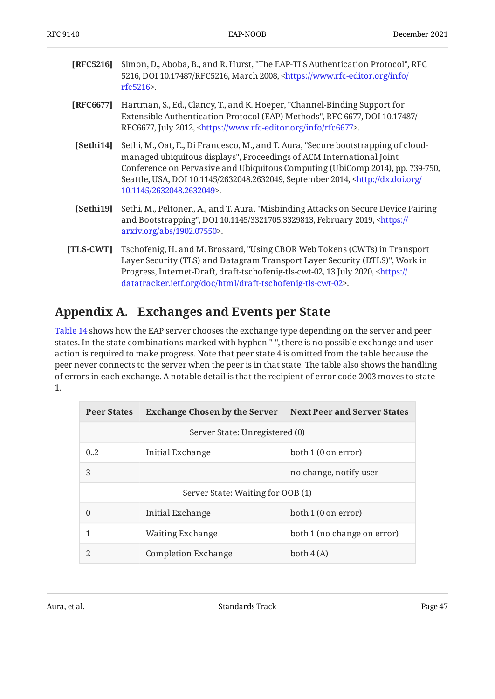<span id="page-46-1"></span>

| <b>[RFC5216]</b> Simon, D., Aboba, B., and R. Hurst, "The EAP-TLS Authentication Protocol", RFC    |  |  |
|----------------------------------------------------------------------------------------------------|--|--|
| 5216, DOI 10.17487/RFC5216, March 2008, <https: <="" info="" th="" www.rfc-editor.org=""></https:> |  |  |
| rfc5216                                                                                            |  |  |

- <span id="page-46-6"></span>**[RFC6677]** Hartman, S., Ed., Clancy, T., and K. Hoeper, "Channel-Binding Support for Extensible Authentication Protocol (EAP) Methods", RFC 6677, DOI 10.17487/ RFC6677, July 2012, <https://www.rfc-editor.org/info/rfc6677>.
- <span id="page-46-2"></span>**[Sethi14]** Sethi, M., Oat, E., Di Francesco, M., and T. Aura, "Secure bootstrapping of cloudmanaged ubiquitous displays", Proceedings of ACM International Joint Seattle, USA, DOI 10.1145/2632048.2632049, September 2014, <[http://dx.doi.org/](http://dx.doi.org/10.1145/2632048.2632049) . [10.1145/2632048.2632049](http://dx.doi.org/10.1145/2632048.2632049)> Conference on Pervasive and Ubiquitous Computing (UbiComp 2014), pp. 739-750,
- <span id="page-46-5"></span>**[Sethi19]** Sethi, M., Peltonen, A., and T. Aura, "Misbinding Attacks on Secure Device Pairing and Bootstrapping", DOI 10.1145/3321705.3329813, February 2019, [<https://](https://arxiv.org/abs/1902.07550) . [arxiv.org/abs/1902.07550>](https://arxiv.org/abs/1902.07550)
- <span id="page-46-4"></span>**[TLS-CWT]** Tschofenig, H. and M. Brossard, "Using CBOR Web Tokens (CWTs) in Transport , Layer Security (TLS) and Datagram Transport Layer Security (DTLS)" Work in Progress, Internet-Draft, draft-tschofenig-tls-cwt-02, 13 July 2020, [<https://](https://datatracker.ietf.org/doc/html/draft-tschofenig-tls-cwt-02) . [datatracker.ietf.org/doc/html/draft-tschofenig-tls-cwt-02](https://datatracker.ietf.org/doc/html/draft-tschofenig-tls-cwt-02)>

## <span id="page-46-0"></span>**[Appendix A. Exchanges and Events per State](#page-46-0)**

[Table 14](#page-46-3) shows how the EAP server chooses the exchange type depending on the server and peer states. In the state combinations marked with hyphen "-", there is no possible exchange and user action is required to make progress. Note that peer state 4 is omitted from the table because the peer never connects to the server when the peer is in that state. The table also shows the handling of errors in each exchange. A notable detail is that the recipient of error code 2003 moves to state 1.

<span id="page-46-7"></span><span id="page-46-3"></span>

| <b>Peer States</b>                | <b>Exchange Chosen by the Server</b> Next Peer and Server States |                             |
|-----------------------------------|------------------------------------------------------------------|-----------------------------|
|                                   | Server State: Unregistered (0)                                   |                             |
| 0.2                               | Initial Exchange                                                 | both 1 (0 on error)         |
| 3                                 |                                                                  | no change, notify user      |
| Server State: Waiting for OOB (1) |                                                                  |                             |
| 0                                 | Initial Exchange                                                 | both 1 (0 on error)         |
|                                   | Waiting Exchange                                                 | both 1 (no change on error) |
| 2                                 | <b>Completion Exchange</b>                                       | both $4(A)$                 |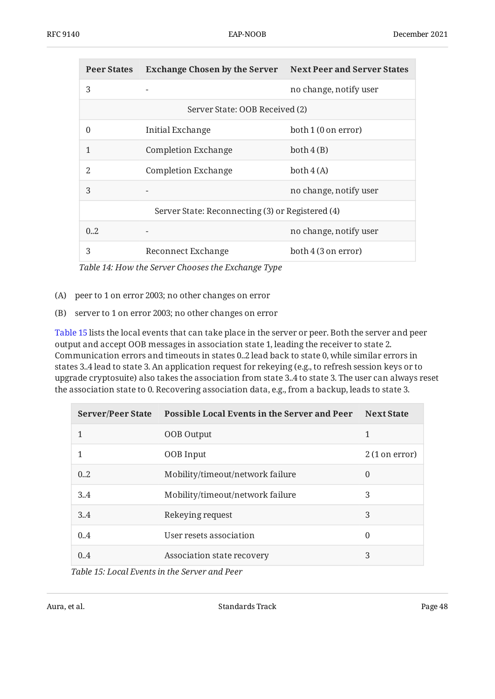| <b>Peer States</b>             | <b>Exchange Chosen by the Server</b> Next Peer and Server States |                        |
|--------------------------------|------------------------------------------------------------------|------------------------|
| 3                              |                                                                  | no change, notify user |
| Server State: OOB Received (2) |                                                                  |                        |
| $\Omega$                       | Initial Exchange                                                 | both 1 (0 on error)    |
|                                | <b>Completion Exchange</b>                                       | both 4(B)              |
| 2                              | <b>Completion Exchange</b>                                       | both $4(A)$            |
| 3                              |                                                                  | no change, notify user |
|                                | Server State: Reconnecting (3) or Registered (4)                 |                        |
| 0.2                            |                                                                  | no change, notify user |
| 3                              | Reconnect Exchange                                               | both 4 (3 on error)    |

*[Table 14](#page-46-7): [How the Server Chooses the Exchange Type](#page-46-3)* 

- (A) peer to 1 on error 2003; no other changes on error
- (B) server to 1 on error 2003; no other changes on error

[Table 15](#page-47-0) lists the local events that can take place in the server or peer. Both the server and peer output and accept OOB messages in association state 1, leading the receiver to state 2. Communication errors and timeouts in states 0..2 lead back to state 0, while similar errors in states 3..4 lead to state 3. An application request for rekeying (e.g., to refresh session keys or to upgrade cryptosuite) also takes the association from state 3..4 to state 3. The user can always reset the association state to 0. Recovering association data, e.g., from a backup, leads to state 3.

<span id="page-47-1"></span><span id="page-47-0"></span>

| <b>Server/Peer State</b>                                                    | <b>Possible Local Events in the Server and Peer</b> | <b>Next State</b>       |  |
|-----------------------------------------------------------------------------|-----------------------------------------------------|-------------------------|--|
| 1                                                                           | <b>OOB</b> Output                                   | 1                       |  |
| 1                                                                           | OOB Input                                           | $2(1 \text{ on error})$ |  |
| 0.2                                                                         | Mobility/timeout/network failure                    | $\theta$                |  |
| 3.4                                                                         | Mobility/timeout/network failure                    | 3                       |  |
| 3.4                                                                         | Rekeying request                                    | 3                       |  |
| 0.4                                                                         | User resets association                             | $\theta$                |  |
| 0.4                                                                         | Association state recovery                          | 3                       |  |
| $T_{\alpha}l_1l_2$ 4.5. Least $\Gamma_{\alpha}$ and in the Cameras and Dean |                                                     |                         |  |

*[Table 15](#page-47-1): [Local Events in the Server and Peer](#page-47-0)*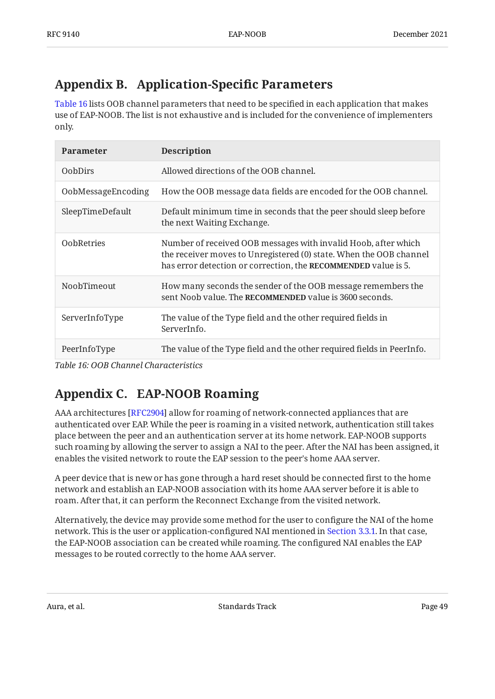## <span id="page-48-0"></span>**[Appendix B. Application-Speci](#page-48-0)fic Parameters**

[Table 16](#page-48-2) lists OOB channel parameters that need to be specified in each application that makes use of EAP-NOOB. The list is not exhaustive and is included for the convenience of implementers only.

<span id="page-48-2"></span>

| <b>Parameter</b>   | <b>Description</b>                                                                                                                                                                                     |
|--------------------|--------------------------------------------------------------------------------------------------------------------------------------------------------------------------------------------------------|
| <b>OobDirs</b>     | Allowed directions of the OOB channel.                                                                                                                                                                 |
| OobMessageEncoding | How the OOB message data fields are encoded for the OOB channel.                                                                                                                                       |
| SleepTimeDefault   | Default minimum time in seconds that the peer should sleep before<br>the next Waiting Exchange.                                                                                                        |
| <b>OobRetries</b>  | Number of received OOB messages with invalid Hoob, after which<br>the receiver moves to Unregistered (0) state. When the OOB channel<br>has error detection or correction, the RECOMMENDED value is 5. |
| NoobTimeout        | How many seconds the sender of the OOB message remembers the<br>sent Noob value. The RECOMMENDED value is 3600 seconds.                                                                                |
| ServerInfoType     | The value of the Type field and the other required fields in<br>ServerInfo.                                                                                                                            |
| PeerInfoType       | The value of the Type field and the other required fields in PeerInfo.                                                                                                                                 |

<span id="page-48-1"></span>*[Table 16](#page-48-2): [OOB Channel Characteristics](#page-48-2)* 

## **[Appendix C. EAP-NOOB Roaming](#page-48-1)**

AAA architectures [\[RFC2904](#page-45-13)] allow for roaming of network-connected appliances that are authenticated over EAP. While the peer is roaming in a visited network, authentication still takes place between the peer and an authentication server at its home network. EAP-NOOB supports such roaming by allowing the server to assign a NAI to the peer. After the NAI has been assigned, it enables the visited network to route the EAP session to the peer's home AAA server.

A peer device that is new or has gone through a hard reset should be connected first to the home network and establish an EAP-NOOB association with its home AAA server before it is able to roam. After that, it can perform the Reconnect Exchange from the visited network.

Alternatively, the device may provide some method for the user to configure the NAI of the home network. This is the user or application-configured NAI mentioned in [Section 3.3.1.](#page-13-1) In that case, the EAP-NOOB association can be created while roaming. The configured NAI enables the EAP messages to be routed correctly to the home AAA server.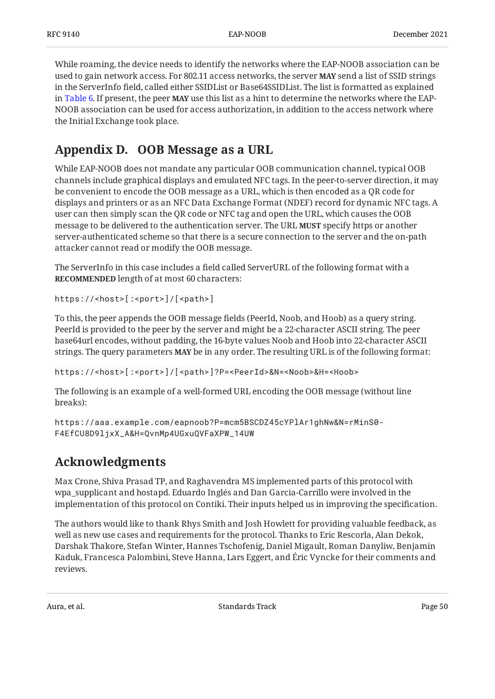While roaming, the device needs to identify the networks where the EAP-NOOB association can be used to gain network access. For 802.11 access networks, the server **MAY** send a list of SSID strings in the ServerInfo field, called either SSIDList or Base64SSIDList. The list is formatted as explained in [Table 6.](#page-29-1) If present, the peer **MAY** use this list as a hint to determine the networks where the EAP-NOOB association can be used for access authorization, in addition to the access network where the Initial Exchange took place.

## <span id="page-49-0"></span>**[Appendix D. OOB Message as a URL](#page-49-0)**

While EAP-NOOB does not mandate any particular OOB communication channel, typical OOB channels include graphical displays and emulated NFC tags. In the peer-to-server direction, it may be convenient to encode the OOB message as a URL, which is then encoded as a QR code for displays and printers or as an NFC Data Exchange Format (NDEF) record for dynamic NFC tags. A user can then simply scan the QR code or NFC tag and open the URL, which causes the OOB message to be delivered to the authentication server. The URL **MUST** specify https or another server-authenticated scheme so that there is a secure connection to the server and the on-path attacker cannot read or modify the OOB message.

The ServerInfo in this case includes a field called ServerURL of the following format with a **RECOMMENDED** length of at most 60 characters:

https://<host>[:<port>]/[<path>]

To this, the peer appends the OOB message fields (PeerId, Noob, and Hoob) as a query string. PeerId is provided to the peer by the server and might be a 22-character ASCII string. The peer base64url encodes, without padding, the 16-byte values Noob and Hoob into 22-character ASCII strings. The query parameters **MAY** be in any order. The resulting URL is of the following format:

https://<host>[:<port>]/[<path>]?P=<PeerId>&N=<Noob>&H=<Hoob>

The following is an example of a well-formed URL encoding the OOB message (without line breaks):

```
https://aaa.example.com/eapnoob?P=mcm5BSCDZ45cYPlAr1ghNw&N=rMinS0-
F4EfCU8D9ljxX_A&H=QvnMp4UGxuQVFaXPW_14UW
```
## **[Acknowledgments](#page-49-1)**

Max Crone, Shiva Prasad TP, and Raghavendra MS implemented parts of this protocol with wpa\_supplicant and hostapd. Eduardo Inglés and Dan Garcia-Carrillo were involved in the implementation of this protocol on Contiki. Their inputs helped us in improving the specification.

The authors would like to thank Rhys Smith and Josh Howlett for providing valuable feedback, as well as new use cases and requirements for the protocol. Thanks to Eric Rescorla, Alan Dekok, Darshak Thakore, Stefan Winter, Hannes Tschofenig, Daniel Migault, Roman Danyliw, Benjamin Kaduk, Francesca Palombini, Steve Hanna, Lars Eggert, and Éric Vyncke for their comments and reviews.